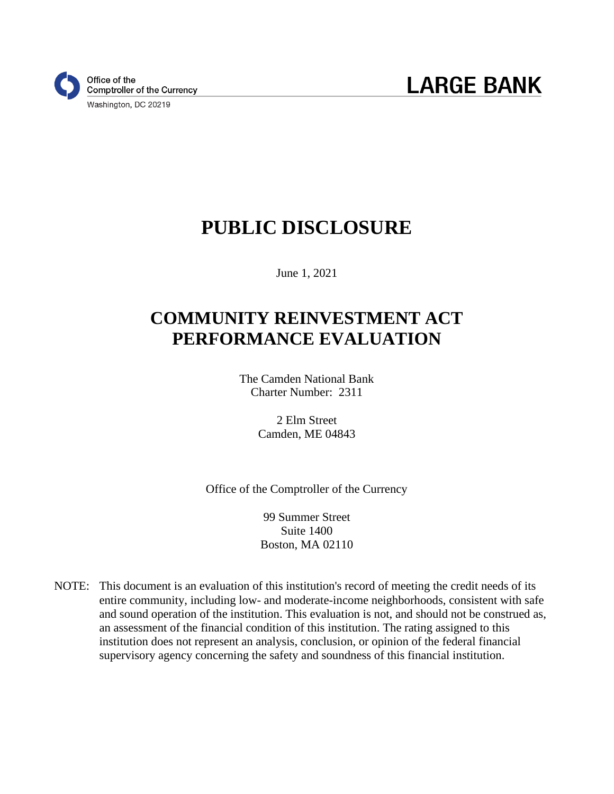

# **PUBLIC DISCLOSURE**

June 1, 2021

# **COMMUNITY REINVESTMENT ACT PERFORMANCE EVALUATION**

The Camden National Bank Charter Number: 2311

> 2 Elm Street Camden, ME 04843

Office of the Comptroller of the Currency

99 Summer Street Suite 1400 Boston, MA 02110

NOTE: This document is an evaluation of this institution's record of meeting the credit needs of its entire community, including low- and moderate-income neighborhoods, consistent with safe and sound operation of the institution. This evaluation is not, and should not be construed as, an assessment of the financial condition of this institution. The rating assigned to this institution does not represent an analysis, conclusion, or opinion of the federal financial supervisory agency concerning the safety and soundness of this financial institution.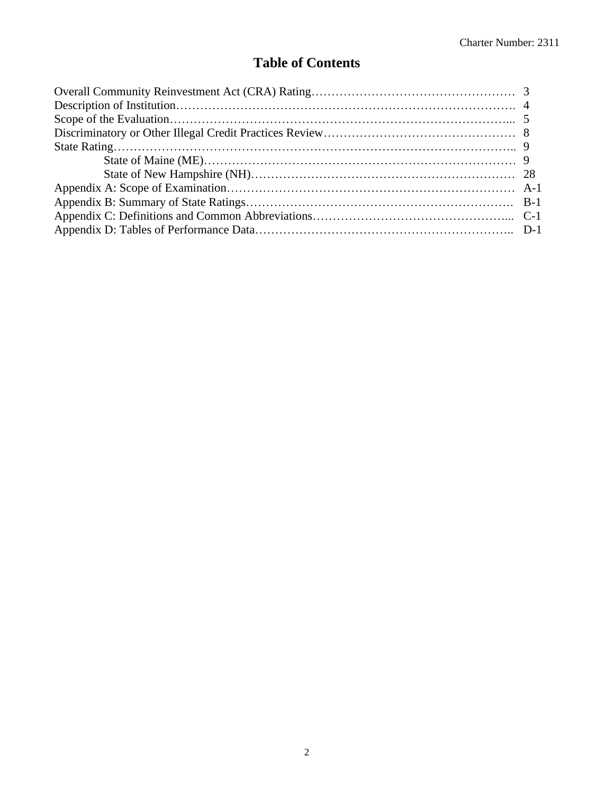## **Table of Contents**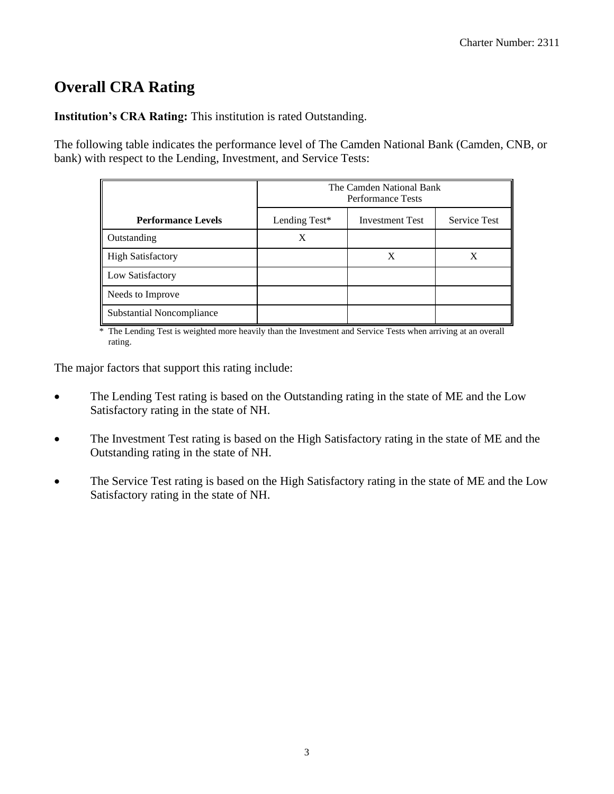## **Overall CRA Rating**

**Institution's CRA Rating:** This institution is rated Outstanding.

The following table indicates the performance level of The Camden National Bank (Camden, CNB, or bank) with respect to the Lending, Investment, and Service Tests:

|                                  | The Camden National Bank<br><b>Performance Tests</b> |                        |                     |  |  |  |  |  |
|----------------------------------|------------------------------------------------------|------------------------|---------------------|--|--|--|--|--|
| <b>Performance Levels</b>        | Lending Test*                                        | <b>Investment Test</b> | <b>Service Test</b> |  |  |  |  |  |
| Outstanding                      | X                                                    |                        |                     |  |  |  |  |  |
| <b>High Satisfactory</b>         |                                                      | X                      | X                   |  |  |  |  |  |
| Low Satisfactory                 |                                                      |                        |                     |  |  |  |  |  |
| Needs to Improve                 |                                                      |                        |                     |  |  |  |  |  |
| <b>Substantial Noncompliance</b> |                                                      |                        |                     |  |  |  |  |  |

\* The Lending Test is weighted more heavily than the Investment and Service Tests when arriving at an overall rating.

The major factors that support this rating include:

- The Lending Test rating is based on the Outstanding rating in the state of ME and the Low Satisfactory rating in the state of NH.
- The Investment Test rating is based on the High Satisfactory rating in the state of ME and the Outstanding rating in the state of NH.
- The Service Test rating is based on the High Satisfactory rating in the state of ME and the Low Satisfactory rating in the state of NH.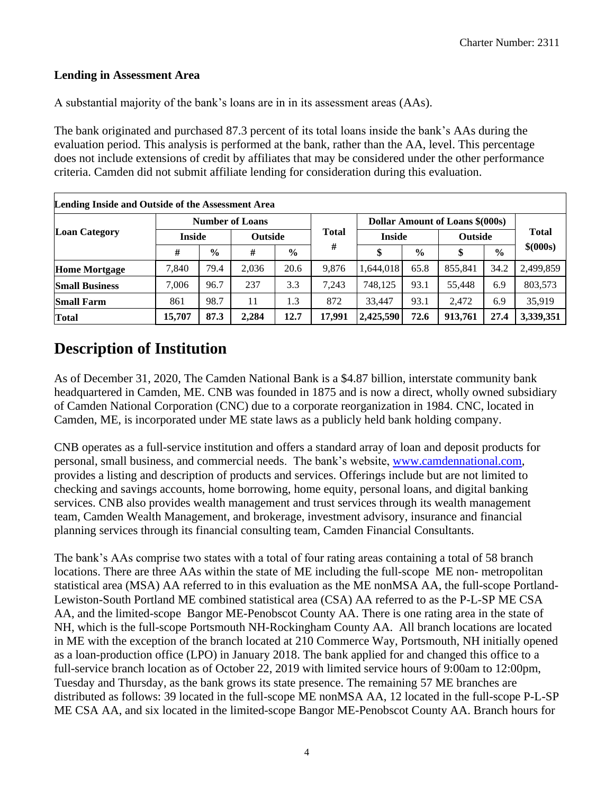#### **Lending in Assessment Area**

A substantial majority of the bank's loans are in in its assessment areas (AAs).

The bank originated and purchased 87.3 percent of its total loans inside the bank's AAs during the evaluation period. This analysis is performed at the bank, rather than the AA, level. This percentage does not include extensions of credit by affiliates that may be considered under the other performance criteria. Camden did not submit affiliate lending for consideration during this evaluation.

| Lending Inside and Outside of the Assessment Area |               |               |                        |                |              |                                        |               |                |               |              |
|---------------------------------------------------|---------------|---------------|------------------------|----------------|--------------|----------------------------------------|---------------|----------------|---------------|--------------|
| <b>Loan Category</b>                              |               |               | <b>Number of Loans</b> |                | <b>Total</b> | <b>Dollar Amount of Loans \$(000s)</b> |               |                |               |              |
|                                                   | <b>Inside</b> |               |                        | <b>Outside</b> |              | <b>Inside</b>                          |               | <b>Outside</b> |               | <b>Total</b> |
|                                                   | #             | $\frac{6}{9}$ | #                      | $\frac{0}{0}$  | #            | \$                                     | $\frac{0}{0}$ | \$             | $\frac{0}{0}$ | \$ (000s)    |
| <b>Home Mortgage</b>                              | 7,840         | 79.4          | 2,036                  | 20.6           | 9.876        | 1,644,018                              | 65.8          | 855,841        | 34.2          | 2,499,859    |
| <b>Small Business</b>                             | 7,006         | 96.7          | 237                    | 3.3            | 7.243        | 748,125                                | 93.1          | 55.448         | 6.9           | 803,573      |
| <b>Small Farm</b>                                 | 861           | 98.7          | 11                     | 1.3            | 872          | 33,447                                 | 93.1          | 2,472          | 6.9           | 35,919       |
| Total                                             | 15,707        | 87.3          | 2,284                  | 12.7           | 17.991       | 2,425,590                              | 72.6          | 913,761        | 27.4          | 3,339,351    |

## **Description of Institution**

As of December 31, 2020, The Camden National Bank is a \$4.87 billion, interstate community bank headquartered in Camden, ME. CNB was founded in 1875 and is now a direct, wholly owned subsidiary of Camden National Corporation (CNC) due to a corporate reorganization in 1984. CNC, located in Camden, ME, is incorporated under ME state laws as a publicly held bank holding company.

CNB operates as a full-service institution and offers a standard array of loan and deposit products for personal, small business, and commercial needs. The bank's website, [www.camdennational.com,](http://www.camdennational.com/) provides a listing and description of products and services. Offerings include but are not limited to checking and savings accounts, home borrowing, home equity, personal loans, and digital banking services. CNB also provides wealth management and trust services through its wealth management team, Camden Wealth Management, and brokerage, investment advisory, insurance and financial planning services through its financial consulting team, Camden Financial Consultants.

The bank's AAs comprise two states with a total of four rating areas containing a total of 58 branch locations. There are three AAs within the state of ME including the full-scope ME non- metropolitan statistical area (MSA) AA referred to in this evaluation as the ME nonMSA AA, the full-scope Portland-Lewiston-South Portland ME combined statistical area (CSA) AA referred to as the P-L-SP ME CSA AA, and the limited-scope Bangor ME-Penobscot County AA. There is one rating area in the state of NH, which is the full-scope Portsmouth NH-Rockingham County AA. All branch locations are located in ME with the exception of the branch located at 210 Commerce Way, Portsmouth, NH initially opened as a loan-production office (LPO) in January 2018. The bank applied for and changed this office to a full-service branch location as of October 22, 2019 with limited service hours of 9:00am to 12:00pm, Tuesday and Thursday, as the bank grows its state presence. The remaining 57 ME branches are distributed as follows: 39 located in the full-scope ME nonMSA AA, 12 located in the full-scope P-L-SP ME CSA AA, and six located in the limited-scope Bangor ME-Penobscot County AA. Branch hours for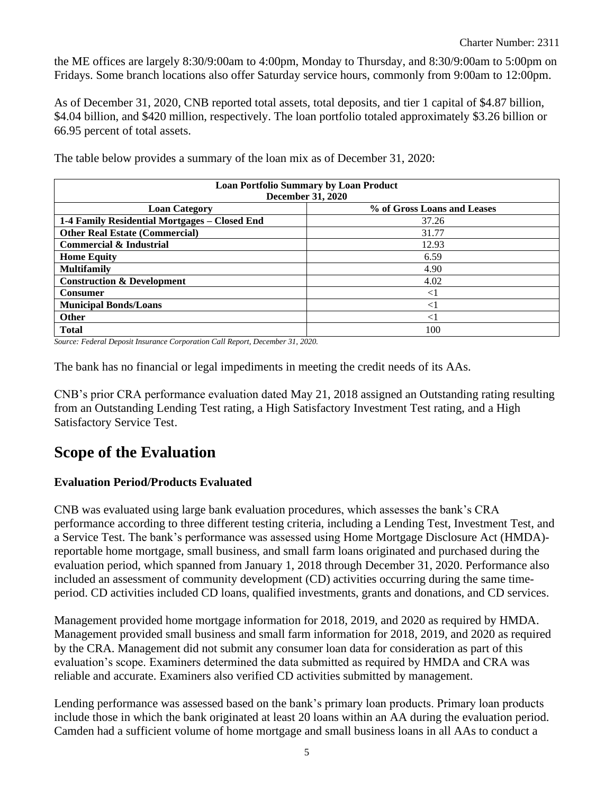the ME offices are largely 8:30/9:00am to 4:00pm, Monday to Thursday, and 8:30/9:00am to 5:00pm on Fridays. Some branch locations also offer Saturday service hours, commonly from 9:00am to 12:00pm.

As of December 31, 2020, CNB reported total assets, total deposits, and tier 1 capital of \$4.87 billion, \$4.04 billion, and \$420 million, respectively. The loan portfolio totaled approximately \$3.26 billion or 66.95 percent of total assets.

| <b>Loan Portfolio Summary by Loan Product</b> |                             |  |  |  |  |  |  |  |  |
|-----------------------------------------------|-----------------------------|--|--|--|--|--|--|--|--|
| <b>December 31, 2020</b>                      |                             |  |  |  |  |  |  |  |  |
| <b>Loan Category</b>                          | % of Gross Loans and Leases |  |  |  |  |  |  |  |  |
| 1-4 Family Residential Mortgages - Closed End | 37.26                       |  |  |  |  |  |  |  |  |
| <b>Other Real Estate (Commercial)</b>         | 31.77                       |  |  |  |  |  |  |  |  |
| <b>Commercial &amp; Industrial</b>            | 12.93                       |  |  |  |  |  |  |  |  |
| <b>Home Equity</b>                            | 6.59                        |  |  |  |  |  |  |  |  |
| <b>Multifamily</b>                            | 4.90                        |  |  |  |  |  |  |  |  |
| <b>Construction &amp; Development</b>         | 4.02                        |  |  |  |  |  |  |  |  |
| <b>Consumer</b>                               | $<$ 1                       |  |  |  |  |  |  |  |  |
| <b>Municipal Bonds/Loans</b>                  | $<$ 1                       |  |  |  |  |  |  |  |  |
| <b>Other</b>                                  | $<$ 1                       |  |  |  |  |  |  |  |  |
| <b>Total</b>                                  | 100                         |  |  |  |  |  |  |  |  |

The table below provides a summary of the loan mix as of December 31, 2020:

*Source: Federal Deposit Insurance Corporation Call Report, December 31, 2020.*

The bank has no financial or legal impediments in meeting the credit needs of its AAs.

CNB's prior CRA performance evaluation dated May 21, 2018 assigned an Outstanding rating resulting from an Outstanding Lending Test rating, a High Satisfactory Investment Test rating, and a High Satisfactory Service Test.

## **Scope of the Evaluation**

#### **Evaluation Period/Products Evaluated**

CNB was evaluated using large bank evaluation procedures, which assesses the bank's CRA performance according to three different testing criteria, including a Lending Test, Investment Test, and a Service Test. The bank's performance was assessed using Home Mortgage Disclosure Act (HMDA) reportable home mortgage, small business, and small farm loans originated and purchased during the evaluation period, which spanned from January 1, 2018 through December 31, 2020. Performance also included an assessment of community development (CD) activities occurring during the same timeperiod. CD activities included CD loans, qualified investments, grants and donations, and CD services.

Management provided home mortgage information for 2018, 2019, and 2020 as required by HMDA. Management provided small business and small farm information for 2018, 2019, and 2020 as required by the CRA. Management did not submit any consumer loan data for consideration as part of this evaluation's scope. Examiners determined the data submitted as required by HMDA and CRA was reliable and accurate. Examiners also verified CD activities submitted by management.

Lending performance was assessed based on the bank's primary loan products. Primary loan products include those in which the bank originated at least 20 loans within an AA during the evaluation period. Camden had a sufficient volume of home mortgage and small business loans in all AAs to conduct a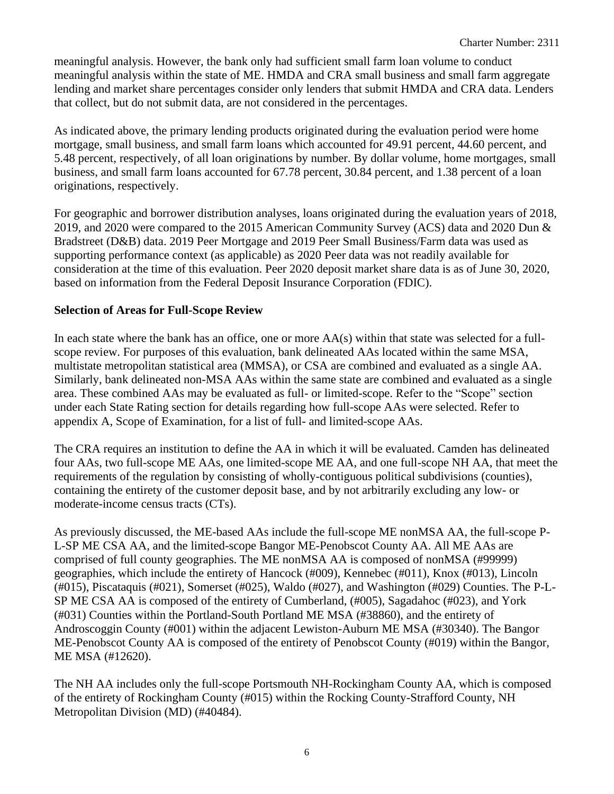meaningful analysis. However, the bank only had sufficient small farm loan volume to conduct meaningful analysis within the state of ME. HMDA and CRA small business and small farm aggregate lending and market share percentages consider only lenders that submit HMDA and CRA data. Lenders that collect, but do not submit data, are not considered in the percentages.

As indicated above, the primary lending products originated during the evaluation period were home mortgage, small business, and small farm loans which accounted for 49.91 percent, 44.60 percent, and 5.48 percent, respectively, of all loan originations by number. By dollar volume, home mortgages, small business, and small farm loans accounted for 67.78 percent, 30.84 percent, and 1.38 percent of a loan originations, respectively.

For geographic and borrower distribution analyses, loans originated during the evaluation years of 2018, 2019, and 2020 were compared to the 2015 American Community Survey (ACS) data and 2020 Dun & Bradstreet (D&B) data. 2019 Peer Mortgage and 2019 Peer Small Business/Farm data was used as supporting performance context (as applicable) as 2020 Peer data was not readily available for consideration at the time of this evaluation. Peer 2020 deposit market share data is as of June 30, 2020, based on information from the Federal Deposit Insurance Corporation (FDIC).

#### **Selection of Areas for Full-Scope Review**

In each state where the bank has an office, one or more  $AA(s)$  within that state was selected for a fullscope review. For purposes of this evaluation, bank delineated AAs located within the same MSA, multistate metropolitan statistical area (MMSA), or CSA are combined and evaluated as a single AA. Similarly, bank delineated non-MSA AAs within the same state are combined and evaluated as a single area. These combined AAs may be evaluated as full- or limited-scope. Refer to the "Scope" section under each State Rating section for details regarding how full-scope AAs were selected. Refer to appendix A, Scope of Examination, for a list of full- and limited-scope AAs.

The CRA requires an institution to define the AA in which it will be evaluated. Camden has delineated four AAs, two full-scope ME AAs, one limited-scope ME AA, and one full-scope NH AA, that meet the requirements of the regulation by consisting of wholly-contiguous political subdivisions (counties), containing the entirety of the customer deposit base, and by not arbitrarily excluding any low- or moderate-income census tracts (CTs).

As previously discussed, the ME-based AAs include the full-scope ME nonMSA AA, the full-scope P-L-SP ME CSA AA, and the limited-scope Bangor ME-Penobscot County AA. All ME AAs are comprised of full county geographies. The ME nonMSA AA is composed of nonMSA (#99999) geographies, which include the entirety of Hancock (#009), Kennebec (#011), Knox (#013), Lincoln (#015), Piscataquis (#021), Somerset (#025), Waldo (#027), and Washington (#029) Counties. The P-L-SP ME CSA AA is composed of the entirety of Cumberland, (#005), Sagadahoc (#023), and York (#031) Counties within the Portland-South Portland ME MSA (#38860), and the entirety of Androscoggin County (#001) within the adjacent Lewiston-Auburn ME MSA (#30340). The Bangor ME-Penobscot County AA is composed of the entirety of Penobscot County (#019) within the Bangor, ME MSA (#12620).

The NH AA includes only the full-scope Portsmouth NH-Rockingham County AA, which is composed of the entirety of Rockingham County (#015) within the Rocking County-Strafford County, NH Metropolitan Division (MD) (#40484).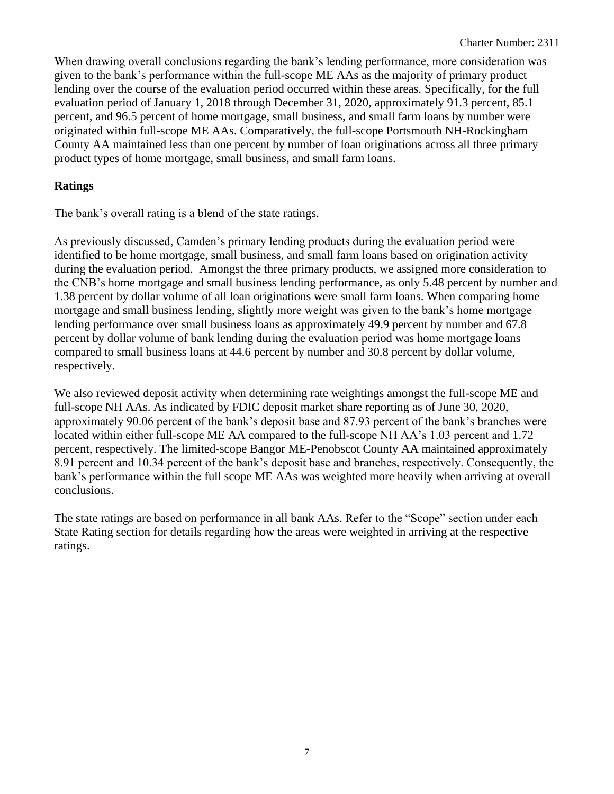When drawing overall conclusions regarding the bank's lending performance, more consideration was given to the bank's performance within the full-scope ME AAs as the majority of primary product lending over the course of the evaluation period occurred within these areas. Specifically, for the full evaluation period of January 1, 2018 through December 31, 2020, approximately 91.3 percent, 85.1 percent, and 96.5 percent of home mortgage, small business, and small farm loans by number were originated within full-scope ME AAs. Comparatively, the full-scope Portsmouth NH-Rockingham County AA maintained less than one percent by number of loan originations across all three primary product types of home mortgage, small business, and small farm loans.

#### **Ratings**

The bank's overall rating is a blend of the state ratings.

As previously discussed, Camden's primary lending products during the evaluation period were identified to be home mortgage, small business, and small farm loans based on origination activity during the evaluation period. Amongst the three primary products, we assigned more consideration to the CNB's home mortgage and small business lending performance, as only 5.48 percent by number and 1.38 percent by dollar volume of all loan originations were small farm loans. When comparing home mortgage and small business lending, slightly more weight was given to the bank's home mortgage lending performance over small business loans as approximately 49.9 percent by number and 67.8 percent by dollar volume of bank lending during the evaluation period was home mortgage loans compared to small business loans at 44.6 percent by number and 30.8 percent by dollar volume, respectively.

We also reviewed deposit activity when determining rate weightings amongst the full-scope ME and full-scope NH AAs. As indicated by FDIC deposit market share reporting as of June 30, 2020, approximately 90.06 percent of the bank's deposit base and 87.93 percent of the bank's branches were located within either full-scope ME AA compared to the full-scope NH AA's 1.03 percent and 1.72 percent, respectively. The limited-scope Bangor ME-Penobscot County AA maintained approximately 8.91 percent and 10.34 percent of the bank's deposit base and branches, respectively. Consequently, the bank's performance within the full scope ME AAs was weighted more heavily when arriving at overall conclusions.

The state ratings are based on performance in all bank AAs. Refer to the "Scope" section under each State Rating section for details regarding how the areas were weighted in arriving at the respective ratings.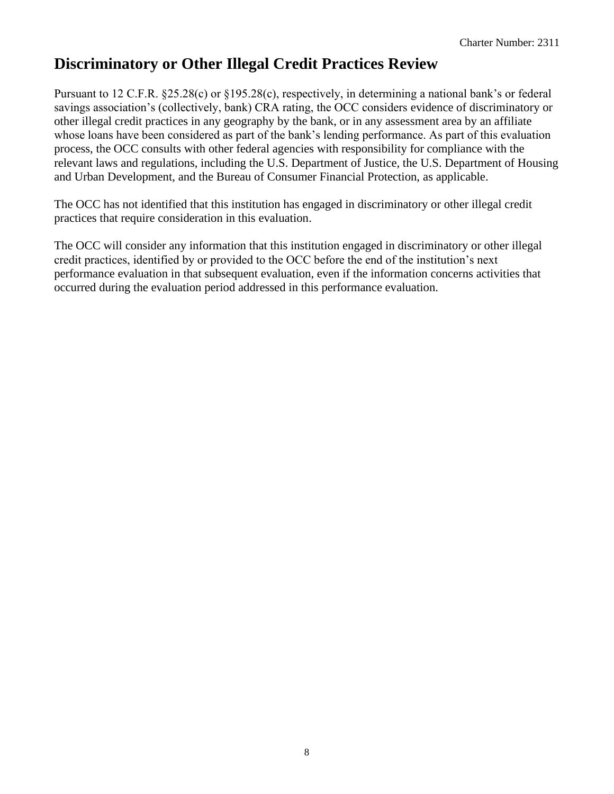## **Discriminatory or Other Illegal Credit Practices Review**

Pursuant to 12 C.F.R. §25.28(c) or §195.28(c), respectively, in determining a national bank's or federal savings association's (collectively, bank) CRA rating, the OCC considers evidence of discriminatory or other illegal credit practices in any geography by the bank, or in any assessment area by an affiliate whose loans have been considered as part of the bank's lending performance. As part of this evaluation process, the OCC consults with other federal agencies with responsibility for compliance with the relevant laws and regulations, including the U.S. Department of Justice, the U.S. Department of Housing and Urban Development, and the Bureau of Consumer Financial Protection, as applicable.

The OCC has not identified that this institution has engaged in discriminatory or other illegal credit practices that require consideration in this evaluation.

The OCC will consider any information that this institution engaged in discriminatory or other illegal credit practices, identified by or provided to the OCC before the end of the institution's next performance evaluation in that subsequent evaluation, even if the information concerns activities that occurred during the evaluation period addressed in this performance evaluation.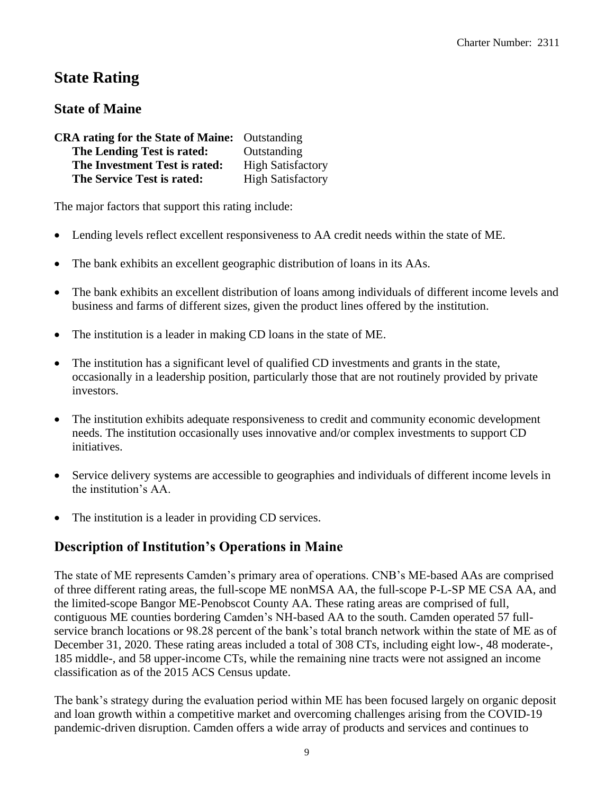## **State Rating**

## **State of Maine**

| <b>CRA rating for the State of Maine:</b> Outstanding |                          |
|-------------------------------------------------------|--------------------------|
| The Lending Test is rated:                            | Outstanding              |
| The Investment Test is rated:                         | <b>High Satisfactory</b> |
| The Service Test is rated:                            | <b>High Satisfactory</b> |

The major factors that support this rating include:

- Lending levels reflect excellent responsiveness to AA credit needs within the state of ME.
- The bank exhibits an excellent geographic distribution of loans in its AAs.
- The bank exhibits an excellent distribution of loans among individuals of different income levels and business and farms of different sizes, given the product lines offered by the institution.
- The institution is a leader in making CD loans in the state of ME.
- The institution has a significant level of qualified CD investments and grants in the state, occasionally in a leadership position, particularly those that are not routinely provided by private investors.
- The institution exhibits adequate responsiveness to credit and community economic development needs. The institution occasionally uses innovative and/or complex investments to support CD initiatives.
- Service delivery systems are accessible to geographies and individuals of different income levels in the institution's AA.
- The institution is a leader in providing CD services.

## **Description of Institution's Operations in Maine**

The state of ME represents Camden's primary area of operations. CNB's ME-based AAs are comprised of three different rating areas, the full-scope ME nonMSA AA, the full-scope P-L-SP ME CSA AA, and the limited-scope Bangor ME-Penobscot County AA. These rating areas are comprised of full, contiguous ME counties bordering Camden's NH-based AA to the south. Camden operated 57 fullservice branch locations or 98.28 percent of the bank's total branch network within the state of ME as of December 31, 2020. These rating areas included a total of 308 CTs, including eight low-, 48 moderate-, 185 middle-, and 58 upper-income CTs, while the remaining nine tracts were not assigned an income classification as of the 2015 ACS Census update.

The bank's strategy during the evaluation period within ME has been focused largely on organic deposit and loan growth within a competitive market and overcoming challenges arising from the COVID-19 pandemic-driven disruption. Camden offers a wide array of products and services and continues to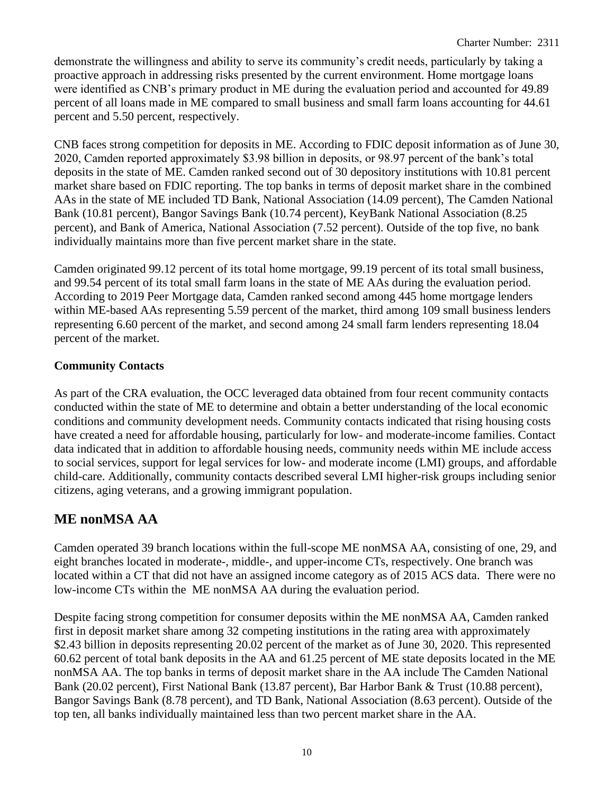demonstrate the willingness and ability to serve its community's credit needs, particularly by taking a proactive approach in addressing risks presented by the current environment. Home mortgage loans were identified as CNB's primary product in ME during the evaluation period and accounted for 49.89 percent of all loans made in ME compared to small business and small farm loans accounting for 44.61 percent and 5.50 percent, respectively.

CNB faces strong competition for deposits in ME. According to FDIC deposit information as of June 30, 2020, Camden reported approximately \$3.98 billion in deposits, or 98.97 percent of the bank's total deposits in the state of ME. Camden ranked second out of 30 depository institutions with 10.81 percent market share based on FDIC reporting. The top banks in terms of deposit market share in the combined AAs in the state of ME included TD Bank, National Association (14.09 percent), The Camden National Bank (10.81 percent), Bangor Savings Bank (10.74 percent), KeyBank National Association (8.25 percent), and Bank of America, National Association (7.52 percent). Outside of the top five, no bank individually maintains more than five percent market share in the state.

Camden originated 99.12 percent of its total home mortgage, 99.19 percent of its total small business, and 99.54 percent of its total small farm loans in the state of ME AAs during the evaluation period. According to 2019 Peer Mortgage data, Camden ranked second among 445 home mortgage lenders within ME-based AAs representing 5.59 percent of the market, third among 109 small business lenders representing 6.60 percent of the market, and second among 24 small farm lenders representing 18.04 percent of the market.

## **Community Contacts**

As part of the CRA evaluation, the OCC leveraged data obtained from four recent community contacts conducted within the state of ME to determine and obtain a better understanding of the local economic conditions and community development needs. Community contacts indicated that rising housing costs have created a need for affordable housing, particularly for low- and moderate-income families. Contact data indicated that in addition to affordable housing needs, community needs within ME include access to social services, support for legal services for low- and moderate income (LMI) groups, and affordable child-care. Additionally, community contacts described several LMI higher-risk groups including senior citizens, aging veterans, and a growing immigrant population.

## **ME nonMSA AA**

Camden operated 39 branch locations within the full-scope ME nonMSA AA, consisting of one, 29, and eight branches located in moderate-, middle-, and upper-income CTs, respectively. One branch was located within a CT that did not have an assigned income category as of 2015 ACS data. There were no low-income CTs within the ME nonMSA AA during the evaluation period.

Despite facing strong competition for consumer deposits within the ME nonMSA AA, Camden ranked first in deposit market share among 32 competing institutions in the rating area with approximately \$2.43 billion in deposits representing 20.02 percent of the market as of June 30, 2020. This represented 60.62 percent of total bank deposits in the AA and 61.25 percent of ME state deposits located in the ME nonMSA AA. The top banks in terms of deposit market share in the AA include The Camden National Bank (20.02 percent), First National Bank (13.87 percent), Bar Harbor Bank & Trust (10.88 percent), Bangor Savings Bank (8.78 percent), and TD Bank, National Association (8.63 percent). Outside of the top ten, all banks individually maintained less than two percent market share in the AA.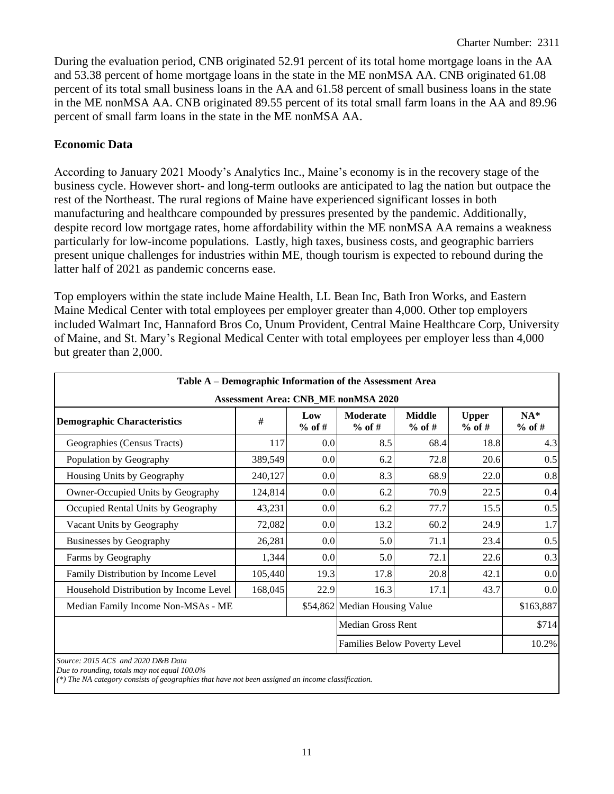During the evaluation period, CNB originated 52.91 percent of its total home mortgage loans in the AA and 53.38 percent of home mortgage loans in the state in the ME nonMSA AA. CNB originated 61.08 percent of its total small business loans in the AA and 61.58 percent of small business loans in the state in the ME nonMSA AA. CNB originated 89.55 percent of its total small farm loans in the AA and 89.96 percent of small farm loans in the state in the ME nonMSA AA.

#### **Economic Data**

According to January 2021 Moody's Analytics Inc., Maine's economy is in the recovery stage of the business cycle. However short- and long-term outlooks are anticipated to lag the nation but outpace the rest of the Northeast. The rural regions of Maine have experienced significant losses in both manufacturing and healthcare compounded by pressures presented by the pandemic. Additionally, despite record low mortgage rates, home affordability within the ME nonMSA AA remains a weakness particularly for low-income populations. Lastly, high taxes, business costs, and geographic barriers present unique challenges for industries within ME, though tourism is expected to rebound during the latter half of 2021 as pandemic concerns ease.

Top employers within the state include Maine Health, LL Bean Inc, Bath Iron Works, and Eastern Maine Medical Center with total employees per employer greater than 4,000. Other top employers included Walmart Inc, Hannaford Bros Co, Unum Provident, Central Maine Healthcare Corp, University of Maine, and St. Mary's Regional Medical Center with total employees per employer less than 4,000 but greater than 2,000.

| Table A – Demographic Information of the Assessment Area |         |                  |                                            |                           |                          |                   |
|----------------------------------------------------------|---------|------------------|--------------------------------------------|---------------------------|--------------------------|-------------------|
|                                                          |         |                  | <b>Assessment Area: CNB_ME nonMSA 2020</b> |                           |                          |                   |
| <b>Demographic Characteristics</b>                       | #       | Low<br>$%$ of #  | Moderate<br>$%$ of #                       | <b>Middle</b><br>$%$ of # | <b>Upper</b><br>$%$ of # | $NA*$<br>$%$ of # |
| Geographies (Census Tracts)                              | 117     | 0.0              | 8.5                                        | 68.4                      | 18.8                     | 4.3               |
| Population by Geography                                  | 389,549 | 0.0              | 6.2                                        | 72.8                      | 20.6                     | 0.5               |
| Housing Units by Geography                               | 240,127 | 0.0              | 8.3                                        | 68.9                      | 22.0                     | 0.8               |
| Owner-Occupied Units by Geography                        | 124,814 | 0.0              | 6.2                                        | 70.9                      | 22.5                     | 0.4               |
| Occupied Rental Units by Geography                       | 43,231  | 0.0              | 6.2                                        | 77.7                      | 15.5                     | 0.5               |
| Vacant Units by Geography                                | 72,082  | 0.0 <sub>l</sub> | 13.2                                       | 60.2                      | 24.9                     | 1.7               |
| Businesses by Geography                                  | 26,281  | 0.0              | 5.0                                        | 71.1                      | 23.4                     | 0.5               |
| Farms by Geography                                       | 1,344   | 0.0              | 5.0                                        | 72.1                      | 22.6                     | 0.3               |
| Family Distribution by Income Level                      | 105,440 | 19.3             | 17.8                                       | 20.8                      | 42.1                     | 0.0               |
| Household Distribution by Income Level                   | 168,045 | 22.9             | 16.3                                       | 17.1                      | 43.7                     | 0.0               |
| Median Family Income Non-MSAs - ME                       |         |                  | \$54,862 Median Housing Value              |                           |                          | \$163,887         |
|                                                          |         |                  | <b>Median Gross Rent</b>                   | \$714                     |                          |                   |
|                                                          |         |                  | Families Below Poverty Level               | 10.2%                     |                          |                   |
| Source: 2015 ACS and 2020 D&B Data                       |         |                  |                                            |                           |                          |                   |

*Due to rounding, totals may not equal 100.0%*

*(\*) The NA category consists of geographies that have not been assigned an income classification.*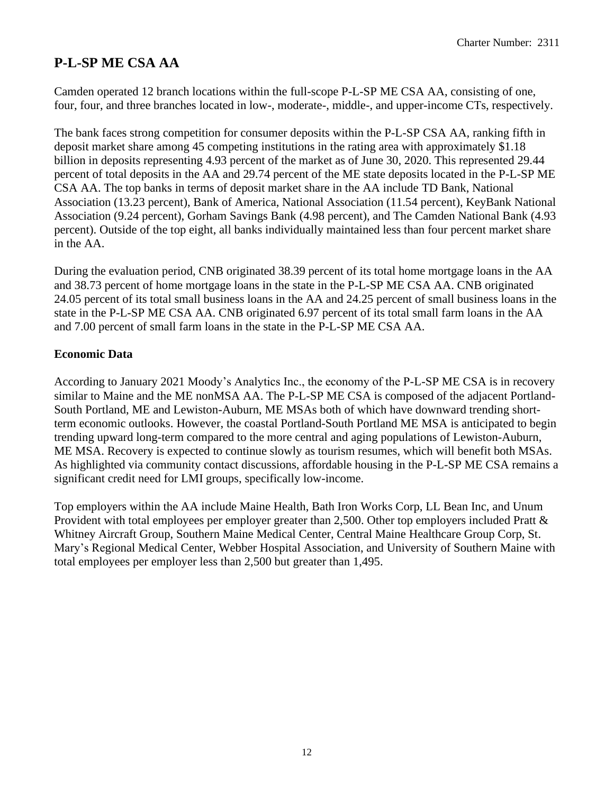## **P-L-SP ME CSA AA**

Camden operated 12 branch locations within the full-scope P-L-SP ME CSA AA, consisting of one, four, four, and three branches located in low-, moderate-, middle-, and upper-income CTs, respectively.

The bank faces strong competition for consumer deposits within the P-L-SP CSA AA, ranking fifth in deposit market share among 45 competing institutions in the rating area with approximately \$1.18 billion in deposits representing 4.93 percent of the market as of June 30, 2020. This represented 29.44 percent of total deposits in the AA and 29.74 percent of the ME state deposits located in the P-L-SP ME CSA AA. The top banks in terms of deposit market share in the AA include TD Bank, National Association (13.23 percent), Bank of America, National Association (11.54 percent), KeyBank National Association (9.24 percent), Gorham Savings Bank (4.98 percent), and The Camden National Bank (4.93 percent). Outside of the top eight, all banks individually maintained less than four percent market share in the AA.

During the evaluation period, CNB originated 38.39 percent of its total home mortgage loans in the AA and 38.73 percent of home mortgage loans in the state in the P-L-SP ME CSA AA. CNB originated 24.05 percent of its total small business loans in the AA and 24.25 percent of small business loans in the state in the P-L-SP ME CSA AA. CNB originated 6.97 percent of its total small farm loans in the AA and 7.00 percent of small farm loans in the state in the P-L-SP ME CSA AA.

#### **Economic Data**

According to January 2021 Moody's Analytics Inc., the economy of the P-L-SP ME CSA is in recovery similar to Maine and the ME nonMSA AA. The P-L-SP ME CSA is composed of the adjacent Portland-South Portland, ME and Lewiston-Auburn, ME MSAs both of which have downward trending shortterm economic outlooks. However, the coastal Portland-South Portland ME MSA is anticipated to begin trending upward long-term compared to the more central and aging populations of Lewiston-Auburn, ME MSA. Recovery is expected to continue slowly as tourism resumes, which will benefit both MSAs. As highlighted via community contact discussions, affordable housing in the P-L-SP ME CSA remains a significant credit need for LMI groups, specifically low-income.

Top employers within the AA include Maine Health, Bath Iron Works Corp, LL Bean Inc, and Unum Provident with total employees per employer greater than 2,500. Other top employers included Pratt & Whitney Aircraft Group, Southern Maine Medical Center, Central Maine Healthcare Group Corp, St. Mary's Regional Medical Center, Webber Hospital Association, and University of Southern Maine with total employees per employer less than 2,500 but greater than 1,495.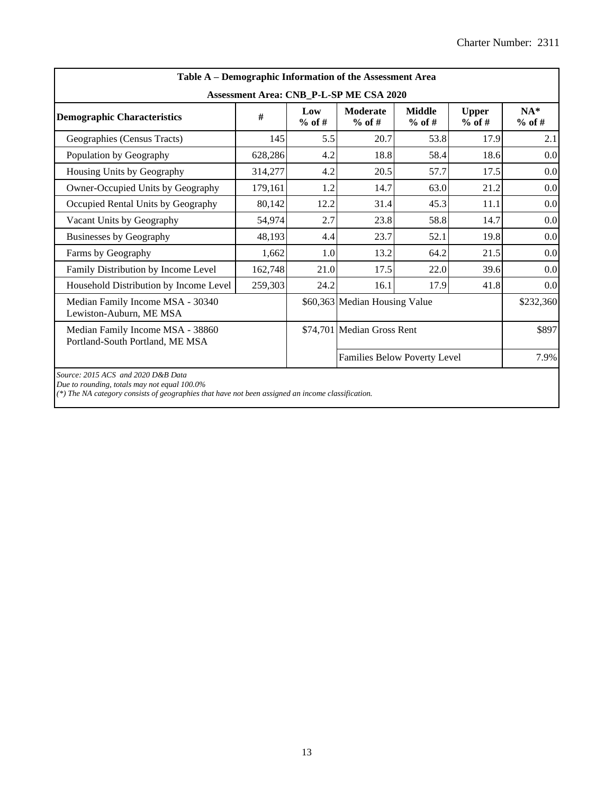| Table A – Demographic Information of the Assessment Area                                                                                                                                |         |                 |                               |                           |                          |                   |  |  |  |  |  |
|-----------------------------------------------------------------------------------------------------------------------------------------------------------------------------------------|---------|-----------------|-------------------------------|---------------------------|--------------------------|-------------------|--|--|--|--|--|
| Assessment Area: CNB_P-L-SP ME CSA 2020                                                                                                                                                 |         |                 |                               |                           |                          |                   |  |  |  |  |  |
| <b>Demographic Characteristics</b>                                                                                                                                                      | #       | Low<br>$%$ of # | <b>Moderate</b><br>$%$ of #   | <b>Middle</b><br>$%$ of # | <b>Upper</b><br>$%$ of # | $NA*$<br>$%$ of # |  |  |  |  |  |
| Geographies (Census Tracts)                                                                                                                                                             | 145     | 5.5             | 20.7                          | 53.8                      | 17.9                     | 2.1               |  |  |  |  |  |
| Population by Geography                                                                                                                                                                 | 628,286 | 4.2             | 18.8                          | 58.4                      | 18.6                     | 0.0               |  |  |  |  |  |
| Housing Units by Geography                                                                                                                                                              | 314,277 | 4.2             | 20.5                          | 57.7                      | 17.5                     | 0.0               |  |  |  |  |  |
| Owner-Occupied Units by Geography                                                                                                                                                       | 179,161 | 1.2             | 14.7                          | 63.0<br>21.2              |                          |                   |  |  |  |  |  |
| Occupied Rental Units by Geography                                                                                                                                                      | 80,142  | 12.2            | 31.4                          | 45.3                      | 11.1                     | 0.0               |  |  |  |  |  |
| Vacant Units by Geography                                                                                                                                                               | 54,974  | 2.7             | 23.8                          | 58.8                      | 14.7                     | 0.0               |  |  |  |  |  |
| Businesses by Geography                                                                                                                                                                 | 48,193  | 4.4             | 23.7                          | 52.1                      | 19.8                     | 0.0               |  |  |  |  |  |
| Farms by Geography                                                                                                                                                                      | 1,662   | 1.0             | 13.2                          | 64.2                      | 21.5                     | 0.0               |  |  |  |  |  |
| Family Distribution by Income Level                                                                                                                                                     | 162,748 | 21.0            | 17.5                          | 22.0                      | 39.6                     | 0.0               |  |  |  |  |  |
| Household Distribution by Income Level                                                                                                                                                  | 259,303 | 24.2            | 16.1                          | 17.9                      | 41.8                     | 0.0               |  |  |  |  |  |
| Median Family Income MSA - 30340<br>Lewiston-Auburn, ME MSA                                                                                                                             |         |                 | \$60,363 Median Housing Value | \$232,360                 |                          |                   |  |  |  |  |  |
| Median Family Income MSA - 38860<br>Portland-South Portland, ME MSA                                                                                                                     |         |                 | \$74,701 Median Gross Rent    | \$897                     |                          |                   |  |  |  |  |  |
|                                                                                                                                                                                         |         |                 | Families Below Poverty Level  |                           | 7.9%                     |                   |  |  |  |  |  |
| Source: 2015 ACS and 2020 D&B Data<br>Due to rounding, totals may not equal 100.0%<br>(*) The NA category consists of geographies that have not been assigned an income classification. |         |                 |                               |                           |                          |                   |  |  |  |  |  |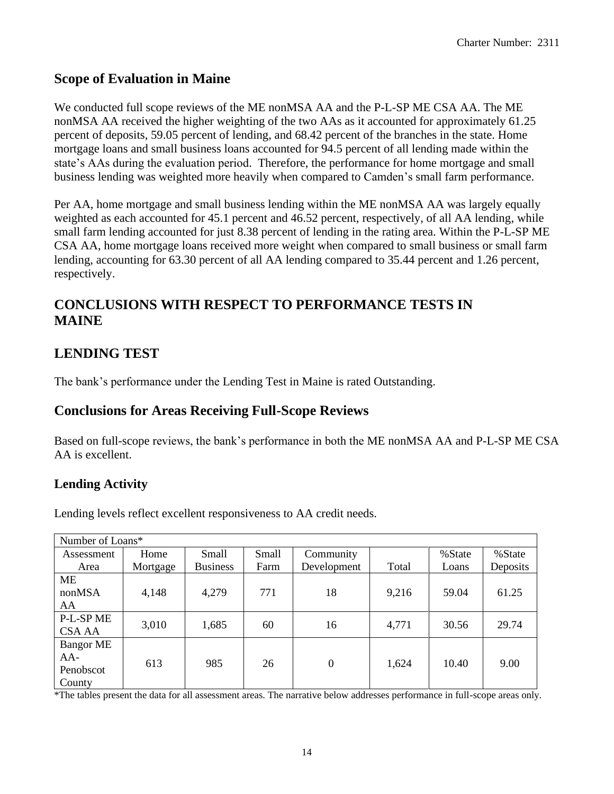## **Scope of Evaluation in Maine**

We conducted full scope reviews of the ME nonMSA AA and the P-L-SP ME CSA AA. The ME nonMSA AA received the higher weighting of the two AAs as it accounted for approximately 61.25 percent of deposits, 59.05 percent of lending, and 68.42 percent of the branches in the state. Home mortgage loans and small business loans accounted for 94.5 percent of all lending made within the state's AAs during the evaluation period. Therefore, the performance for home mortgage and small business lending was weighted more heavily when compared to Camden's small farm performance.

Per AA, home mortgage and small business lending within the ME nonMSA AA was largely equally weighted as each accounted for 45.1 percent and 46.52 percent, respectively, of all AA lending, while small farm lending accounted for just 8.38 percent of lending in the rating area. Within the P-L-SP ME CSA AA, home mortgage loans received more weight when compared to small business or small farm lending, accounting for 63.30 percent of all AA lending compared to 35.44 percent and 1.26 percent, respectively.

## **CONCLUSIONS WITH RESPECT TO PERFORMANCE TESTS IN MAINE**

## **LENDING TEST**

The bank's performance under the Lending Test in Maine is rated Outstanding.

## **Conclusions for Areas Receiving Full-Scope Reviews**

Based on full-scope reviews, the bank's performance in both the ME nonMSA AA and P-L-SP ME CSA AA is excellent.

## **Lending Activity**

Lending levels reflect excellent responsiveness to AA credit needs.

| Number of Loans* |          |                             |      |              |         |       |          |  |  |  |
|------------------|----------|-----------------------------|------|--------------|---------|-------|----------|--|--|--|
| Assessment       | Home     | Small<br>Small<br>Community |      | %State       | % State |       |          |  |  |  |
| Area             | Mortgage | <b>Business</b>             | Farm | Development  | Total   | Loans | Deposits |  |  |  |
| ME               |          |                             |      |              |         |       |          |  |  |  |
| nonMSA           | 4,148    | 4,279                       | 771  | 18           | 9,216   | 59.04 | 61.25    |  |  |  |
| AA               |          |                             |      |              |         |       |          |  |  |  |
| P-L-SP ME        | 3,010    | 1,685                       | 60   | 16           | 4,771   | 30.56 | 29.74    |  |  |  |
| CSA AA           |          |                             |      |              |         |       |          |  |  |  |
| <b>Bangor ME</b> |          |                             |      |              |         |       |          |  |  |  |
| AA-              | 613      | 985                         | 26   | $\mathbf{0}$ | 1,624   | 10.40 | 9.00     |  |  |  |
| Penobscot        |          |                             |      |              |         |       |          |  |  |  |
| County           |          |                             |      |              |         |       |          |  |  |  |

\*The tables present the data for all assessment areas. The narrative below addresses performance in full-scope areas only.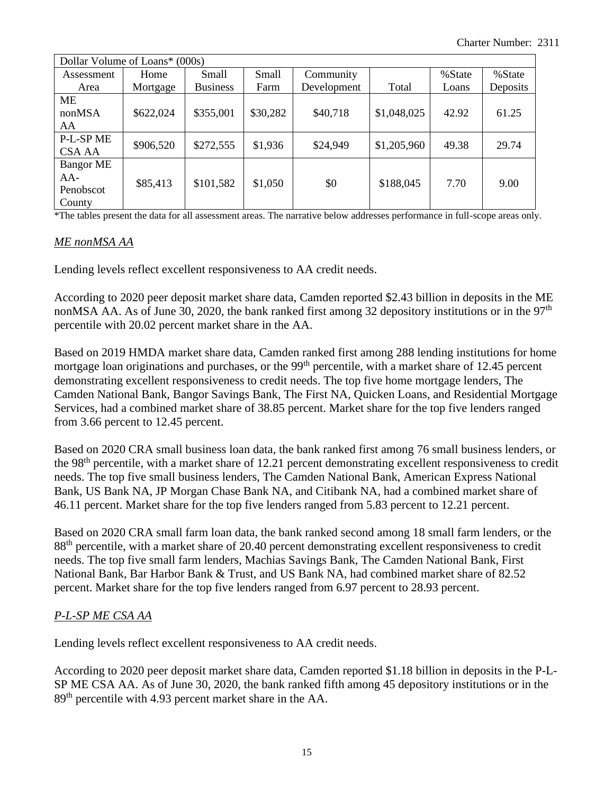| Dollar Volume of Loans* (000s)                 |           |                             |          |             |             |         |          |  |  |  |
|------------------------------------------------|-----------|-----------------------------|----------|-------------|-------------|---------|----------|--|--|--|
| Assessment                                     | Home      | Small<br>Small<br>Community |          |             | %State      | % State |          |  |  |  |
| Area                                           | Mortgage  | <b>Business</b>             | Farm     | Development | Total       | Loans   | Deposits |  |  |  |
| <b>ME</b><br>nonMSA<br>AA                      | \$622,024 | \$355,001                   | \$30,282 | \$40,718    | \$1,048,025 | 42.92   | 61.25    |  |  |  |
| P-L-SP ME<br><b>CSA AA</b>                     | \$906,520 | \$272,555                   | \$1,936  | \$24,949    | \$1,205,960 | 49.38   | 29.74    |  |  |  |
| <b>Bangor ME</b><br>AA-<br>Penobscot<br>County | \$85,413  | \$101,582                   | \$1,050  | \$0         | \$188,045   | 7.70    | 9.00     |  |  |  |

\*The tables present the data for all assessment areas. The narrative below addresses performance in full-scope areas only.

#### *ME nonMSA AA*

Lending levels reflect excellent responsiveness to AA credit needs.

According to 2020 peer deposit market share data, Camden reported \$2.43 billion in deposits in the ME nonMSA AA. As of June 30, 2020, the bank ranked first among 32 depository institutions or in the 97<sup>th</sup> percentile with 20.02 percent market share in the AA.

Based on 2019 HMDA market share data, Camden ranked first among 288 lending institutions for home mortgage loan originations and purchases, or the 99<sup>th</sup> percentile, with a market share of 12.45 percent demonstrating excellent responsiveness to credit needs. The top five home mortgage lenders, The Camden National Bank, Bangor Savings Bank, The First NA, Quicken Loans, and Residential Mortgage Services, had a combined market share of 38.85 percent. Market share for the top five lenders ranged from 3.66 percent to 12.45 percent.

Based on 2020 CRA small business loan data, the bank ranked first among 76 small business lenders, or the 98<sup>th</sup> percentile, with a market share of 12.21 percent demonstrating excellent responsiveness to credit needs. The top five small business lenders, The Camden National Bank, American Express National Bank, US Bank NA, JP Morgan Chase Bank NA, and Citibank NA, had a combined market share of 46.11 percent. Market share for the top five lenders ranged from 5.83 percent to 12.21 percent.

Based on 2020 CRA small farm loan data, the bank ranked second among 18 small farm lenders, or the 88<sup>th</sup> percentile, with a market share of 20.40 percent demonstrating excellent responsiveness to credit needs. The top five small farm lenders, Machias Savings Bank, The Camden National Bank, First National Bank, Bar Harbor Bank & Trust, and US Bank NA, had combined market share of 82.52 percent. Market share for the top five lenders ranged from 6.97 percent to 28.93 percent.

#### *P-L-SP ME CSA AA*

Lending levels reflect excellent responsiveness to AA credit needs.

According to 2020 peer deposit market share data, Camden reported \$1.18 billion in deposits in the P-L-SP ME CSA AA. As of June 30, 2020, the bank ranked fifth among 45 depository institutions or in the 89th percentile with 4.93 percent market share in the AA.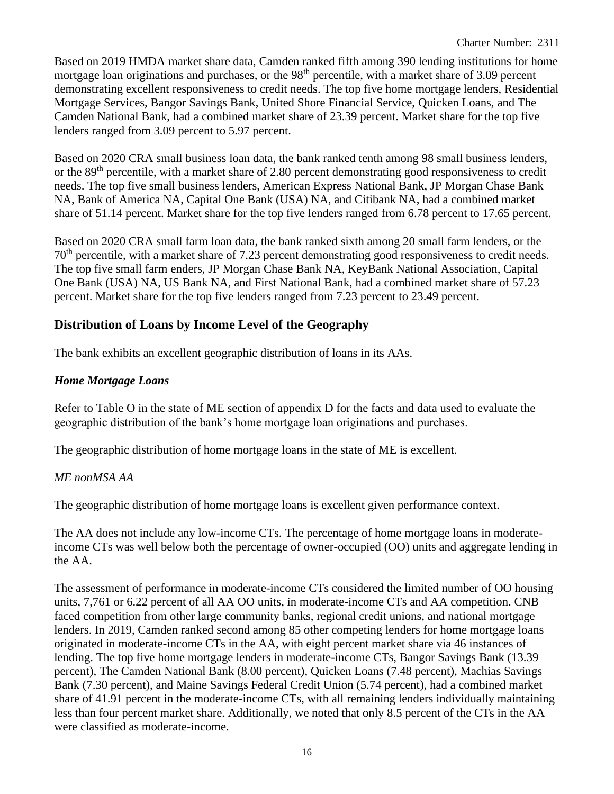Based on 2019 HMDA market share data, Camden ranked fifth among 390 lending institutions for home mortgage loan originations and purchases, or the 98<sup>th</sup> percentile, with a market share of 3.09 percent demonstrating excellent responsiveness to credit needs. The top five home mortgage lenders, Residential Mortgage Services, Bangor Savings Bank, United Shore Financial Service, Quicken Loans, and The Camden National Bank, had a combined market share of 23.39 percent. Market share for the top five lenders ranged from 3.09 percent to 5.97 percent.

Based on 2020 CRA small business loan data, the bank ranked tenth among 98 small business lenders, or the 89<sup>th</sup> percentile, with a market share of 2.80 percent demonstrating good responsiveness to credit needs. The top five small business lenders, American Express National Bank, JP Morgan Chase Bank NA, Bank of America NA, Capital One Bank (USA) NA, and Citibank NA, had a combined market share of 51.14 percent. Market share for the top five lenders ranged from 6.78 percent to 17.65 percent.

Based on 2020 CRA small farm loan data, the bank ranked sixth among 20 small farm lenders, or the 70th percentile, with a market share of 7.23 percent demonstrating good responsiveness to credit needs. The top five small farm enders, JP Morgan Chase Bank NA, KeyBank National Association, Capital One Bank (USA) NA, US Bank NA, and First National Bank, had a combined market share of 57.23 percent. Market share for the top five lenders ranged from 7.23 percent to 23.49 percent.

## **Distribution of Loans by Income Level of the Geography**

The bank exhibits an excellent geographic distribution of loans in its AAs.

## *Home Mortgage Loans*

Refer to Table O in the state of ME section of appendix D for the facts and data used to evaluate the geographic distribution of the bank's home mortgage loan originations and purchases.

The geographic distribution of home mortgage loans in the state of ME is excellent.

#### *ME nonMSA AA*

The geographic distribution of home mortgage loans is excellent given performance context.

The AA does not include any low-income CTs. The percentage of home mortgage loans in moderateincome CTs was well below both the percentage of owner-occupied (OO) units and aggregate lending in the AA.

The assessment of performance in moderate-income CTs considered the limited number of OO housing units, 7,761 or 6.22 percent of all AA OO units, in moderate-income CTs and AA competition. CNB faced competition from other large community banks, regional credit unions, and national mortgage lenders. In 2019, Camden ranked second among 85 other competing lenders for home mortgage loans originated in moderate-income CTs in the AA, with eight percent market share via 46 instances of lending. The top five home mortgage lenders in moderate-income CTs, Bangor Savings Bank (13.39 percent), The Camden National Bank (8.00 percent), Quicken Loans (7.48 percent), Machias Savings Bank (7.30 percent), and Maine Savings Federal Credit Union (5.74 percent), had a combined market share of 41.91 percent in the moderate-income CTs, with all remaining lenders individually maintaining less than four percent market share. Additionally, we noted that only 8.5 percent of the CTs in the AA were classified as moderate-income.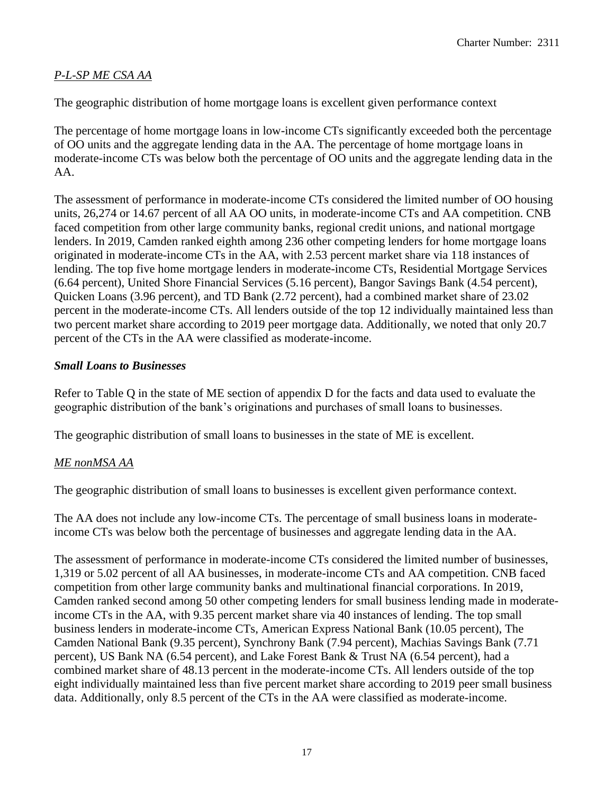#### *P-L-SP ME CSA AA*

The geographic distribution of home mortgage loans is excellent given performance context

The percentage of home mortgage loans in low-income CTs significantly exceeded both the percentage of OO units and the aggregate lending data in the AA. The percentage of home mortgage loans in moderate-income CTs was below both the percentage of OO units and the aggregate lending data in the AA.

The assessment of performance in moderate-income CTs considered the limited number of OO housing units, 26,274 or 14.67 percent of all AA OO units, in moderate-income CTs and AA competition. CNB faced competition from other large community banks, regional credit unions, and national mortgage lenders. In 2019, Camden ranked eighth among 236 other competing lenders for home mortgage loans originated in moderate-income CTs in the AA, with 2.53 percent market share via 118 instances of lending. The top five home mortgage lenders in moderate-income CTs, Residential Mortgage Services (6.64 percent), United Shore Financial Services (5.16 percent), Bangor Savings Bank (4.54 percent), Quicken Loans (3.96 percent), and TD Bank (2.72 percent), had a combined market share of 23.02 percent in the moderate-income CTs. All lenders outside of the top 12 individually maintained less than two percent market share according to 2019 peer mortgage data. Additionally, we noted that only 20.7 percent of the CTs in the AA were classified as moderate-income.

#### *Small Loans to Businesses*

Refer to Table Q in the state of ME section of appendix D for the facts and data used to evaluate the geographic distribution of the bank's originations and purchases of small loans to businesses.

The geographic distribution of small loans to businesses in the state of ME is excellent.

#### *ME nonMSA AA*

The geographic distribution of small loans to businesses is excellent given performance context.

The AA does not include any low-income CTs. The percentage of small business loans in moderateincome CTs was below both the percentage of businesses and aggregate lending data in the AA.

The assessment of performance in moderate-income CTs considered the limited number of businesses, 1,319 or 5.02 percent of all AA businesses, in moderate-income CTs and AA competition. CNB faced competition from other large community banks and multinational financial corporations. In 2019, Camden ranked second among 50 other competing lenders for small business lending made in moderateincome CTs in the AA, with 9.35 percent market share via 40 instances of lending. The top small business lenders in moderate-income CTs, American Express National Bank (10.05 percent), The Camden National Bank (9.35 percent), Synchrony Bank (7.94 percent), Machias Savings Bank (7.71 percent), US Bank NA (6.54 percent), and Lake Forest Bank & Trust NA (6.54 percent), had a combined market share of 48.13 percent in the moderate-income CTs. All lenders outside of the top eight individually maintained less than five percent market share according to 2019 peer small business data. Additionally, only 8.5 percent of the CTs in the AA were classified as moderate-income.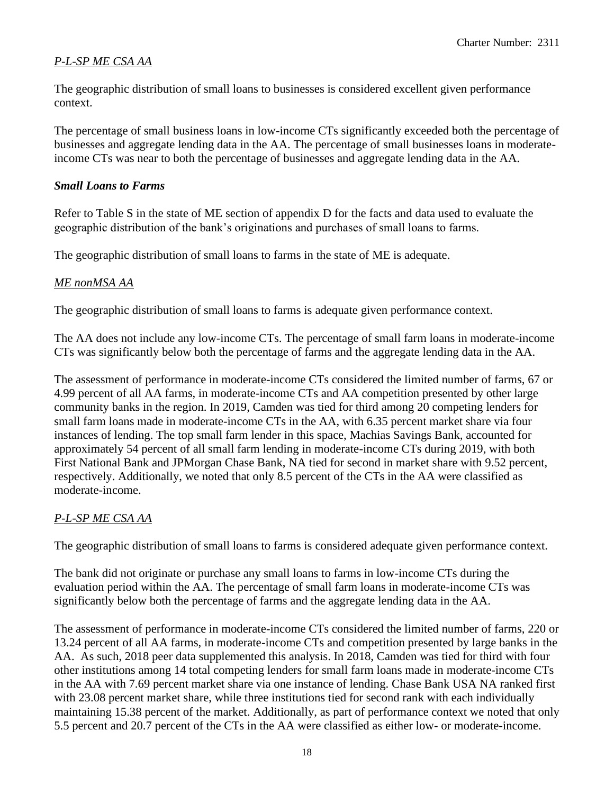## *P-L-SP ME CSA AA*

The geographic distribution of small loans to businesses is considered excellent given performance context.

The percentage of small business loans in low-income CTs significantly exceeded both the percentage of businesses and aggregate lending data in the AA. The percentage of small businesses loans in moderateincome CTs was near to both the percentage of businesses and aggregate lending data in the AA.

#### *Small Loans to Farms*

Refer to Table S in the state of ME section of appendix D for the facts and data used to evaluate the geographic distribution of the bank's originations and purchases of small loans to farms.

The geographic distribution of small loans to farms in the state of ME is adequate.

#### *ME nonMSA AA*

The geographic distribution of small loans to farms is adequate given performance context.

The AA does not include any low-income CTs. The percentage of small farm loans in moderate-income CTs was significantly below both the percentage of farms and the aggregate lending data in the AA.

The assessment of performance in moderate-income CTs considered the limited number of farms, 67 or 4.99 percent of all AA farms, in moderate-income CTs and AA competition presented by other large community banks in the region. In 2019, Camden was tied for third among 20 competing lenders for small farm loans made in moderate-income CTs in the AA, with 6.35 percent market share via four instances of lending. The top small farm lender in this space, Machias Savings Bank, accounted for approximately 54 percent of all small farm lending in moderate-income CTs during 2019, with both First National Bank and JPMorgan Chase Bank, NA tied for second in market share with 9.52 percent, respectively. Additionally, we noted that only 8.5 percent of the CTs in the AA were classified as moderate-income.

## *P-L-SP ME CSA AA*

The geographic distribution of small loans to farms is considered adequate given performance context.

The bank did not originate or purchase any small loans to farms in low-income CTs during the evaluation period within the AA. The percentage of small farm loans in moderate-income CTs was significantly below both the percentage of farms and the aggregate lending data in the AA.

The assessment of performance in moderate-income CTs considered the limited number of farms, 220 or 13.24 percent of all AA farms, in moderate-income CTs and competition presented by large banks in the AA. As such, 2018 peer data supplemented this analysis. In 2018, Camden was tied for third with four other institutions among 14 total competing lenders for small farm loans made in moderate-income CTs in the AA with 7.69 percent market share via one instance of lending. Chase Bank USA NA ranked first with 23.08 percent market share, while three institutions tied for second rank with each individually maintaining 15.38 percent of the market. Additionally, as part of performance context we noted that only 5.5 percent and 20.7 percent of the CTs in the AA were classified as either low- or moderate-income.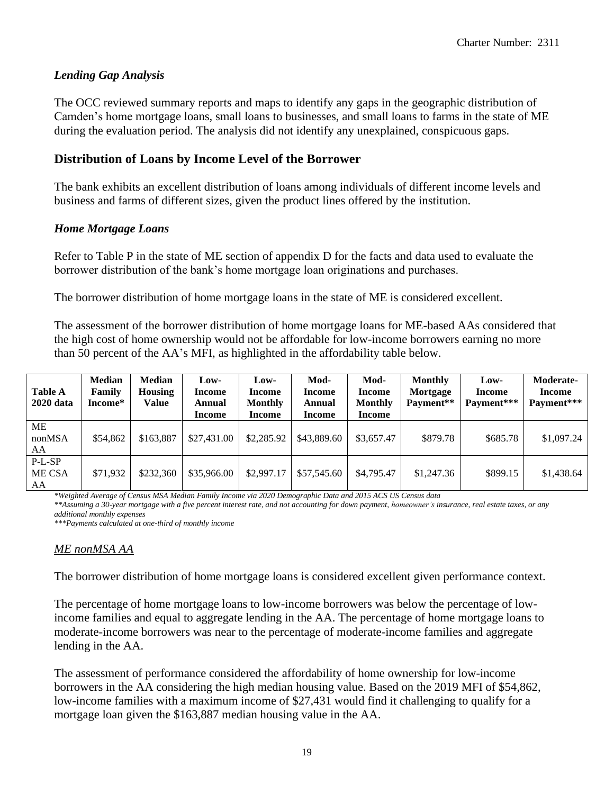#### *Lending Gap Analysis*

The OCC reviewed summary reports and maps to identify any gaps in the geographic distribution of Camden's home mortgage loans, small loans to businesses, and small loans to farms in the state of ME during the evaluation period. The analysis did not identify any unexplained, conspicuous gaps.

#### **Distribution of Loans by Income Level of the Borrower**

The bank exhibits an excellent distribution of loans among individuals of different income levels and business and farms of different sizes, given the product lines offered by the institution.

#### *Home Mortgage Loans*

Refer to Table P in the state of ME section of appendix D for the facts and data used to evaluate the borrower distribution of the bank's home mortgage loan originations and purchases.

The borrower distribution of home mortgage loans in the state of ME is considered excellent.

The assessment of the borrower distribution of home mortgage loans for ME-based AAs considered that the high cost of home ownership would not be affordable for low-income borrowers earning no more than 50 percent of the AA's MFI, as highlighted in the affordability table below.

| <b>Table A</b><br><b>2020</b> data | <b>Median</b><br>Family<br>Income* | <b>Median</b><br><b>Housing</b><br>Value | Low-<br><b>Income</b><br>Annual<br>Income | Low-<br>Income<br><b>Monthly</b><br>Income | Mod-<br>Income<br>Annual<br>Income | Mod-<br><b>Income</b><br><b>Monthly</b><br>Income | <b>Monthly</b><br>Mortgage<br>Payment** | Low-<br>Income<br>Payment*** | Moderate-<br>Income<br>Payment*** |
|------------------------------------|------------------------------------|------------------------------------------|-------------------------------------------|--------------------------------------------|------------------------------------|---------------------------------------------------|-----------------------------------------|------------------------------|-----------------------------------|
| MЕ<br>nonMSA<br>AA                 | \$54,862                           | \$163,887                                | \$27,431.00                               | \$2,285.92                                 | \$43,889.60                        | \$3,657.47                                        | \$879.78                                | \$685.78                     | \$1,097.24                        |
| P-L-SP<br>ME CSA<br>AA             | \$71,932                           | \$232,360                                | \$35,966.00                               | \$2,997.17                                 | \$57,545.60                        | \$4,795.47                                        | \$1,247.36                              | \$899.15                     | \$1,438.64                        |

*\*Weighted Average of Census MSA Median Family Income via 2020 Demographic Data and 2015 ACS US Census data*

*\*\*Assuming a 30-year mortgage with a five percent interest rate, and not accounting for down payment, homeowner's insurance, real estate taxes, or any additional monthly expenses*

*\*\*\*Payments calculated at one-third of monthly income*

#### *ME nonMSA AA*

The borrower distribution of home mortgage loans is considered excellent given performance context.

The percentage of home mortgage loans to low-income borrowers was below the percentage of lowincome families and equal to aggregate lending in the AA. The percentage of home mortgage loans to moderate-income borrowers was near to the percentage of moderate-income families and aggregate lending in the AA.

The assessment of performance considered the affordability of home ownership for low-income borrowers in the AA considering the high median housing value. Based on the 2019 MFI of \$54,862, low-income families with a maximum income of \$27,431 would find it challenging to qualify for a mortgage loan given the \$163,887 median housing value in the AA.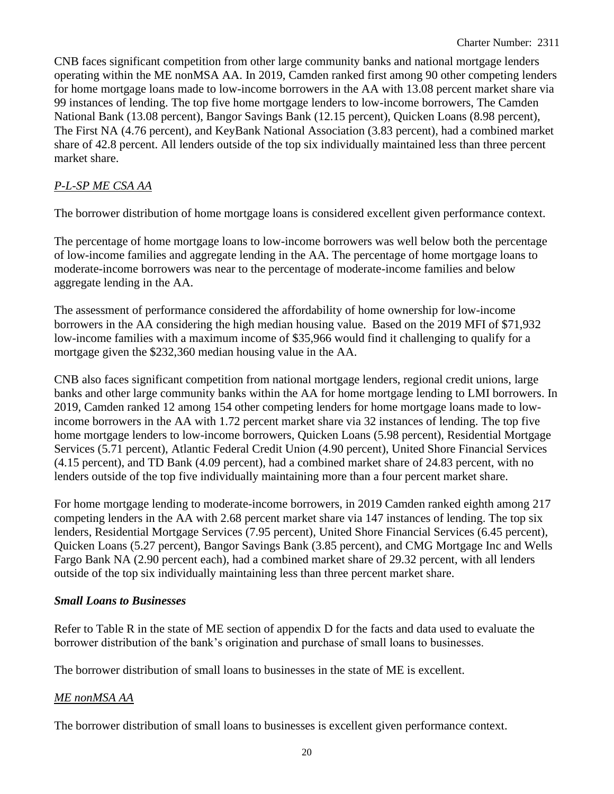CNB faces significant competition from other large community banks and national mortgage lenders operating within the ME nonMSA AA. In 2019, Camden ranked first among 90 other competing lenders for home mortgage loans made to low-income borrowers in the AA with 13.08 percent market share via 99 instances of lending. The top five home mortgage lenders to low-income borrowers, The Camden National Bank (13.08 percent), Bangor Savings Bank (12.15 percent), Quicken Loans (8.98 percent), The First NA (4.76 percent), and KeyBank National Association (3.83 percent), had a combined market share of 42.8 percent. All lenders outside of the top six individually maintained less than three percent market share.

#### *P-L-SP ME CSA AA*

The borrower distribution of home mortgage loans is considered excellent given performance context.

The percentage of home mortgage loans to low-income borrowers was well below both the percentage of low-income families and aggregate lending in the AA. The percentage of home mortgage loans to moderate-income borrowers was near to the percentage of moderate-income families and below aggregate lending in the AA.

The assessment of performance considered the affordability of home ownership for low-income borrowers in the AA considering the high median housing value. Based on the 2019 MFI of \$71,932 low-income families with a maximum income of \$35,966 would find it challenging to qualify for a mortgage given the \$232,360 median housing value in the AA.

CNB also faces significant competition from national mortgage lenders, regional credit unions, large banks and other large community banks within the AA for home mortgage lending to LMI borrowers. In 2019, Camden ranked 12 among 154 other competing lenders for home mortgage loans made to lowincome borrowers in the AA with 1.72 percent market share via 32 instances of lending. The top five home mortgage lenders to low-income borrowers, Quicken Loans (5.98 percent), Residential Mortgage Services (5.71 percent), Atlantic Federal Credit Union (4.90 percent), United Shore Financial Services (4.15 percent), and TD Bank (4.09 percent), had a combined market share of 24.83 percent, with no lenders outside of the top five individually maintaining more than a four percent market share.

For home mortgage lending to moderate-income borrowers, in 2019 Camden ranked eighth among 217 competing lenders in the AA with 2.68 percent market share via 147 instances of lending. The top six lenders, Residential Mortgage Services (7.95 percent), United Shore Financial Services (6.45 percent), Quicken Loans (5.27 percent), Bangor Savings Bank (3.85 percent), and CMG Mortgage Inc and Wells Fargo Bank NA (2.90 percent each), had a combined market share of 29.32 percent, with all lenders outside of the top six individually maintaining less than three percent market share.

#### *Small Loans to Businesses*

Refer to Table R in the state of ME section of appendix D for the facts and data used to evaluate the borrower distribution of the bank's origination and purchase of small loans to businesses.

The borrower distribution of small loans to businesses in the state of ME is excellent.

#### *ME nonMSA AA*

The borrower distribution of small loans to businesses is excellent given performance context.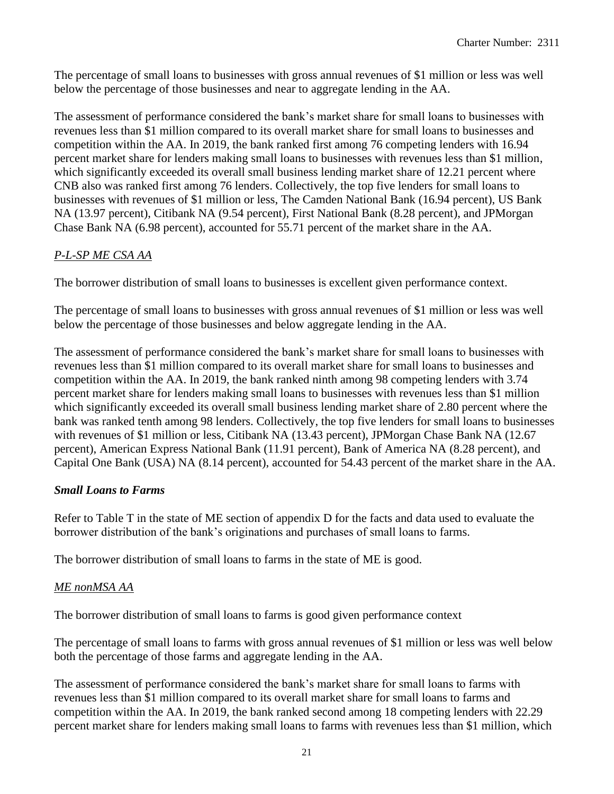The percentage of small loans to businesses with gross annual revenues of \$1 million or less was well below the percentage of those businesses and near to aggregate lending in the AA.

The assessment of performance considered the bank's market share for small loans to businesses with revenues less than \$1 million compared to its overall market share for small loans to businesses and competition within the AA. In 2019, the bank ranked first among 76 competing lenders with 16.94 percent market share for lenders making small loans to businesses with revenues less than \$1 million, which significantly exceeded its overall small business lending market share of 12.21 percent where CNB also was ranked first among 76 lenders. Collectively, the top five lenders for small loans to businesses with revenues of \$1 million or less, The Camden National Bank (16.94 percent), US Bank NA (13.97 percent), Citibank NA (9.54 percent), First National Bank (8.28 percent), and JPMorgan Chase Bank NA (6.98 percent), accounted for 55.71 percent of the market share in the AA.

## *P-L-SP ME CSA AA*

The borrower distribution of small loans to businesses is excellent given performance context.

The percentage of small loans to businesses with gross annual revenues of \$1 million or less was well below the percentage of those businesses and below aggregate lending in the AA.

The assessment of performance considered the bank's market share for small loans to businesses with revenues less than \$1 million compared to its overall market share for small loans to businesses and competition within the AA. In 2019, the bank ranked ninth among 98 competing lenders with 3.74 percent market share for lenders making small loans to businesses with revenues less than \$1 million which significantly exceeded its overall small business lending market share of 2.80 percent where the bank was ranked tenth among 98 lenders. Collectively, the top five lenders for small loans to businesses with revenues of \$1 million or less, Citibank NA (13.43 percent), JPMorgan Chase Bank NA (12.67 percent), American Express National Bank (11.91 percent), Bank of America NA (8.28 percent), and Capital One Bank (USA) NA (8.14 percent), accounted for 54.43 percent of the market share in the AA.

## *Small Loans to Farms*

Refer to Table T in the state of ME section of appendix D for the facts and data used to evaluate the borrower distribution of the bank's originations and purchases of small loans to farms.

The borrower distribution of small loans to farms in the state of ME is good.

## *ME nonMSA AA*

The borrower distribution of small loans to farms is good given performance context

The percentage of small loans to farms with gross annual revenues of \$1 million or less was well below both the percentage of those farms and aggregate lending in the AA.

The assessment of performance considered the bank's market share for small loans to farms with revenues less than \$1 million compared to its overall market share for small loans to farms and competition within the AA. In 2019, the bank ranked second among 18 competing lenders with 22.29 percent market share for lenders making small loans to farms with revenues less than \$1 million, which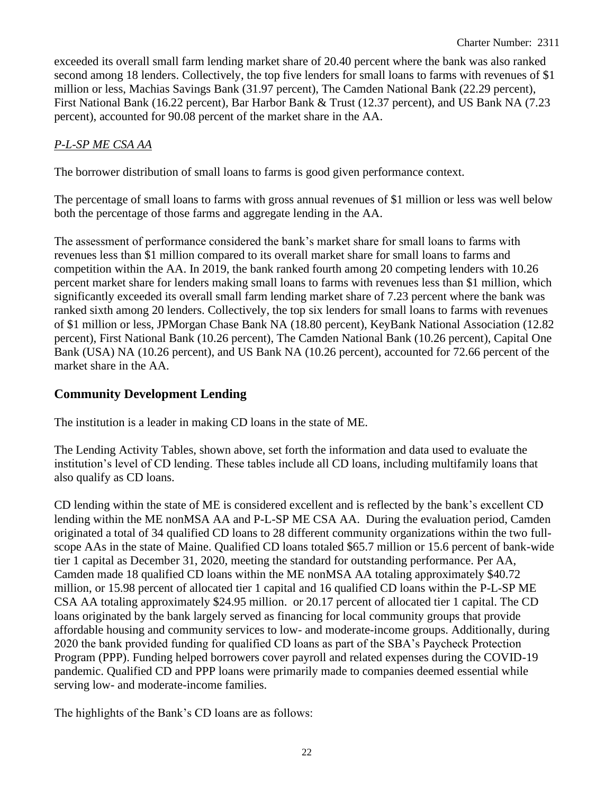exceeded its overall small farm lending market share of 20.40 percent where the bank was also ranked second among 18 lenders. Collectively, the top five lenders for small loans to farms with revenues of \$1 million or less, Machias Savings Bank (31.97 percent), The Camden National Bank (22.29 percent), First National Bank (16.22 percent), Bar Harbor Bank & Trust (12.37 percent), and US Bank NA (7.23 percent), accounted for 90.08 percent of the market share in the AA.

#### *P-L-SP ME CSA AA*

The borrower distribution of small loans to farms is good given performance context.

The percentage of small loans to farms with gross annual revenues of \$1 million or less was well below both the percentage of those farms and aggregate lending in the AA.

The assessment of performance considered the bank's market share for small loans to farms with revenues less than \$1 million compared to its overall market share for small loans to farms and competition within the AA. In 2019, the bank ranked fourth among 20 competing lenders with 10.26 percent market share for lenders making small loans to farms with revenues less than \$1 million, which significantly exceeded its overall small farm lending market share of 7.23 percent where the bank was ranked sixth among 20 lenders. Collectively, the top six lenders for small loans to farms with revenues of \$1 million or less, JPMorgan Chase Bank NA (18.80 percent), KeyBank National Association (12.82 percent), First National Bank (10.26 percent), The Camden National Bank (10.26 percent), Capital One Bank (USA) NA (10.26 percent), and US Bank NA (10.26 percent), accounted for 72.66 percent of the market share in the AA.

#### **Community Development Lending**

The institution is a leader in making CD loans in the state of ME.

The Lending Activity Tables, shown above, set forth the information and data used to evaluate the institution's level of CD lending. These tables include all CD loans, including multifamily loans that also qualify as CD loans.

CD lending within the state of ME is considered excellent and is reflected by the bank's excellent CD lending within the ME nonMSA AA and P-L-SP ME CSA AA. During the evaluation period, Camden originated a total of 34 qualified CD loans to 28 different community organizations within the two fullscope AAs in the state of Maine. Qualified CD loans totaled \$65.7 million or 15.6 percent of bank-wide tier 1 capital as December 31, 2020, meeting the standard for outstanding performance. Per AA, Camden made 18 qualified CD loans within the ME nonMSA AA totaling approximately \$40.72 million, or 15.98 percent of allocated tier 1 capital and 16 qualified CD loans within the P-L-SP ME CSA AA totaling approximately \$24.95 million. or 20.17 percent of allocated tier 1 capital. The CD loans originated by the bank largely served as financing for local community groups that provide affordable housing and community services to low- and moderate-income groups. Additionally, during 2020 the bank provided funding for qualified CD loans as part of the SBA's Paycheck Protection Program (PPP). Funding helped borrowers cover payroll and related expenses during the COVID-19 pandemic. Qualified CD and PPP loans were primarily made to companies deemed essential while serving low- and moderate-income families.

The highlights of the Bank's CD loans are as follows: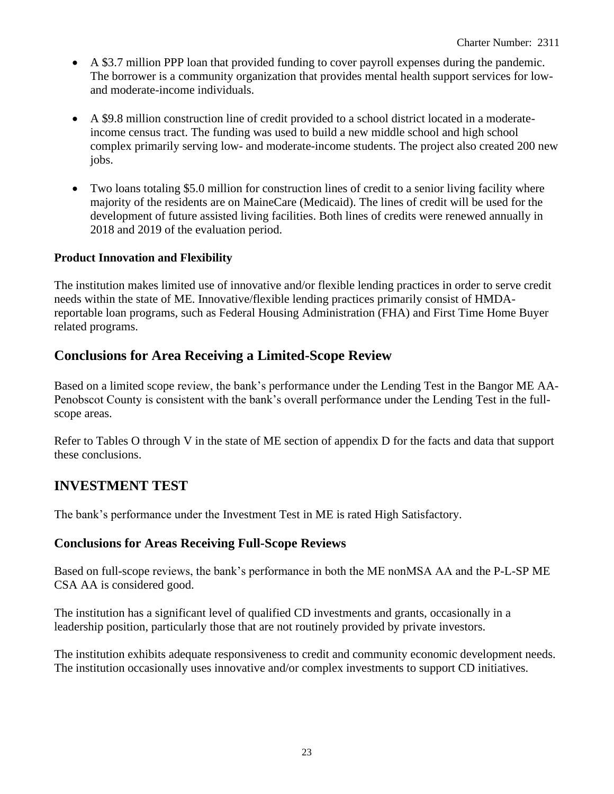- A \$3.7 million PPP loan that provided funding to cover payroll expenses during the pandemic. The borrower is a community organization that provides mental health support services for lowand moderate-income individuals.
- A \$9.8 million construction line of credit provided to a school district located in a moderateincome census tract. The funding was used to build a new middle school and high school complex primarily serving low- and moderate-income students. The project also created 200 new jobs.
- Two loans totaling \$5.0 million for construction lines of credit to a senior living facility where majority of the residents are on MaineCare (Medicaid). The lines of credit will be used for the development of future assisted living facilities. Both lines of credits were renewed annually in 2018 and 2019 of the evaluation period.

#### **Product Innovation and Flexibility**

The institution makes limited use of innovative and/or flexible lending practices in order to serve credit needs within the state of ME. Innovative/flexible lending practices primarily consist of HMDAreportable loan programs, such as Federal Housing Administration (FHA) and First Time Home Buyer related programs.

## **Conclusions for Area Receiving a Limited-Scope Review**

Based on a limited scope review, the bank's performance under the Lending Test in the Bangor ME AA-Penobscot County is consistent with the bank's overall performance under the Lending Test in the fullscope areas.

Refer to Tables O through V in the state of ME section of appendix D for the facts and data that support these conclusions.

## **INVESTMENT TEST**

The bank's performance under the Investment Test in ME is rated High Satisfactory.

#### **Conclusions for Areas Receiving Full-Scope Reviews**

Based on full-scope reviews, the bank's performance in both the ME nonMSA AA and the P-L-SP ME CSA AA is considered good.

The institution has a significant level of qualified CD investments and grants, occasionally in a leadership position, particularly those that are not routinely provided by private investors.

The institution exhibits adequate responsiveness to credit and community economic development needs. The institution occasionally uses innovative and/or complex investments to support CD initiatives.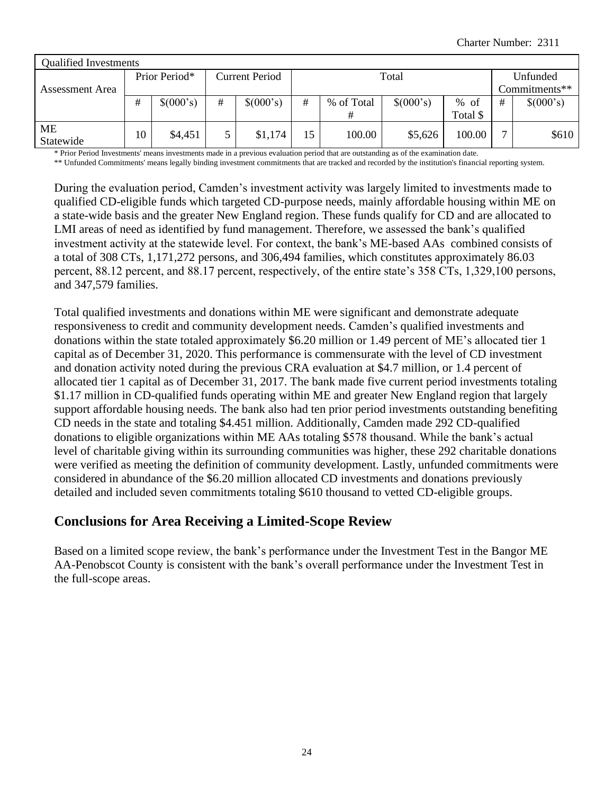| <b>Qualified Investments</b> |    |               |                |           |    |            |           |            |               |           |  |
|------------------------------|----|---------------|----------------|-----------|----|------------|-----------|------------|---------------|-----------|--|
|                              |    | Prior Period* | Current Period |           |    | Total      |           | Unfunded   |               |           |  |
| Assessment Area              |    |               |                |           |    |            |           |            | Commitments** |           |  |
|                              | #  | \$(000's)     | #              | \$(000's) | #  | % of Total | \$(000's) | of<br>$\%$ | #             | \$(000's) |  |
|                              |    |               |                |           |    |            |           | Total \$   |               |           |  |
| <b>ME</b><br>Statewide       | 10 | \$4,451       | 5              | \$1,174   | 15 | 100.00     | \$5,626   | 100.00     | –             | \$610     |  |

\* Prior Period Investments' means investments made in a previous evaluation period that are outstanding as of the examination date.

\*\* Unfunded Commitments' means legally binding investment commitments that are tracked and recorded by the institution's financial reporting system.

During the evaluation period, Camden's investment activity was largely limited to investments made to qualified CD-eligible funds which targeted CD-purpose needs, mainly affordable housing within ME on a state-wide basis and the greater New England region. These funds qualify for CD and are allocated to LMI areas of need as identified by fund management. Therefore, we assessed the bank's qualified investment activity at the statewide level. For context, the bank's ME-based AAs combined consists of a total of 308 CTs, 1,171,272 persons, and 306,494 families, which constitutes approximately 86.03 percent, 88.12 percent, and 88.17 percent, respectively, of the entire state's 358 CTs, 1,329,100 persons, and 347,579 families.

Total qualified investments and donations within ME were significant and demonstrate adequate responsiveness to credit and community development needs. Camden's qualified investments and donations within the state totaled approximately \$6.20 million or 1.49 percent of ME's allocated tier 1 capital as of December 31, 2020. This performance is commensurate with the level of CD investment and donation activity noted during the previous CRA evaluation at \$4.7 million, or 1.4 percent of allocated tier 1 capital as of December 31, 2017. The bank made five current period investments totaling \$1.17 million in CD-qualified funds operating within ME and greater New England region that largely support affordable housing needs. The bank also had ten prior period investments outstanding benefiting CD needs in the state and totaling \$4.451 million. Additionally, Camden made 292 CD-qualified donations to eligible organizations within ME AAs totaling \$578 thousand. While the bank's actual level of charitable giving within its surrounding communities was higher, these 292 charitable donations were verified as meeting the definition of community development. Lastly, unfunded commitments were considered in abundance of the \$6.20 million allocated CD investments and donations previously detailed and included seven commitments totaling \$610 thousand to vetted CD-eligible groups.

#### **Conclusions for Area Receiving a Limited-Scope Review**

Based on a limited scope review, the bank's performance under the Investment Test in the Bangor ME AA-Penobscot County is consistent with the bank's overall performance under the Investment Test in the full-scope areas.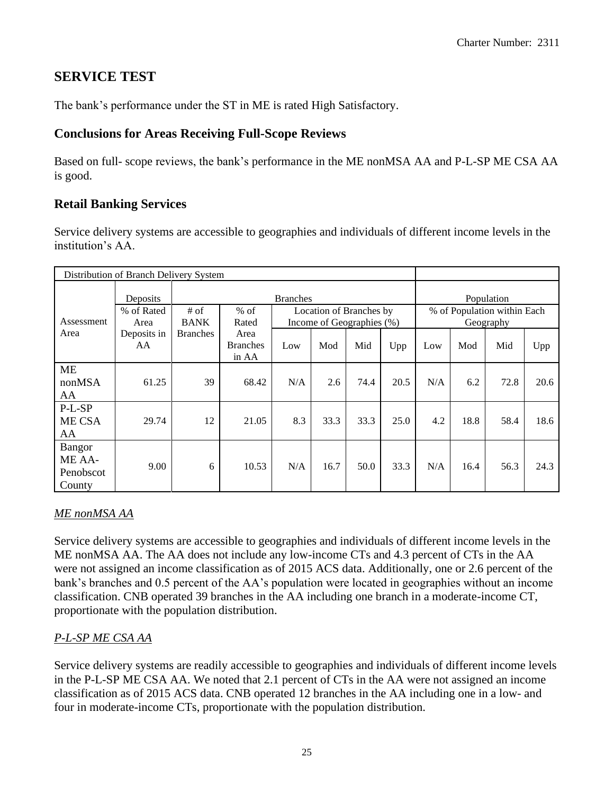## **SERVICE TEST**

The bank's performance under the ST in ME is rated High Satisfactory.

## **Conclusions for Areas Receiving Full-Scope Reviews**

Based on full- scope reviews, the bank's performance in the ME nonMSA AA and P-L-SP ME CSA AA is good.

## **Retail Banking Services**

Service delivery systems are accessible to geographies and individuals of different income levels in the institution's AA.

| Distribution of Branch Delivery System         |                    |                       |                                                                                                                     |     |      |      |      |     |      |            |      |  |  |  |
|------------------------------------------------|--------------------|-----------------------|---------------------------------------------------------------------------------------------------------------------|-----|------|------|------|-----|------|------------|------|--|--|--|
|                                                | Deposits           |                       | <b>Branches</b>                                                                                                     |     |      |      |      |     |      | Population |      |  |  |  |
| Assessment                                     | % of Rated<br>Area | $#$ of<br><b>BANK</b> | % of Population within Each<br>$%$ of<br>Location of Branches by<br>Rated<br>Income of Geographies (%)<br>Geography |     |      |      |      |     |      |            |      |  |  |  |
| Area                                           | Deposits in<br>AA  | <b>Branches</b>       | Area<br><b>Branches</b><br>in AA                                                                                    | Low | Mod  | Mid  | Upp  | Low | Mod  | Mid        | Upp  |  |  |  |
| <b>ME</b><br>nonMSA<br>AA                      | 61.25              | 39                    | 68.42                                                                                                               | N/A | 2.6  | 74.4 | 20.5 | N/A | 6.2  | 72.8       | 20.6 |  |  |  |
| P-L-SP<br>ME CSA<br>AA                         | 29.74              | 12                    | 21.05                                                                                                               | 8.3 | 33.3 | 33.3 | 25.0 | 4.2 | 18.8 | 58.4       | 18.6 |  |  |  |
| <b>Bangor</b><br>ME AA-<br>Penobscot<br>County | 9.00               | 6                     | 10.53                                                                                                               | N/A | 16.7 | 50.0 | 33.3 | N/A | 16.4 | 56.3       | 24.3 |  |  |  |

## *ME nonMSA AA*

Service delivery systems are accessible to geographies and individuals of different income levels in the ME nonMSA AA. The AA does not include any low-income CTs and 4.3 percent of CTs in the AA were not assigned an income classification as of 2015 ACS data. Additionally, one or 2.6 percent of the bank's branches and 0.5 percent of the AA's population were located in geographies without an income classification. CNB operated 39 branches in the AA including one branch in a moderate-income CT, proportionate with the population distribution.

## *P-L-SP ME CSA AA*

Service delivery systems are readily accessible to geographies and individuals of different income levels in the P-L-SP ME CSA AA. We noted that 2.1 percent of CTs in the AA were not assigned an income classification as of 2015 ACS data. CNB operated 12 branches in the AA including one in a low- and four in moderate-income CTs, proportionate with the population distribution.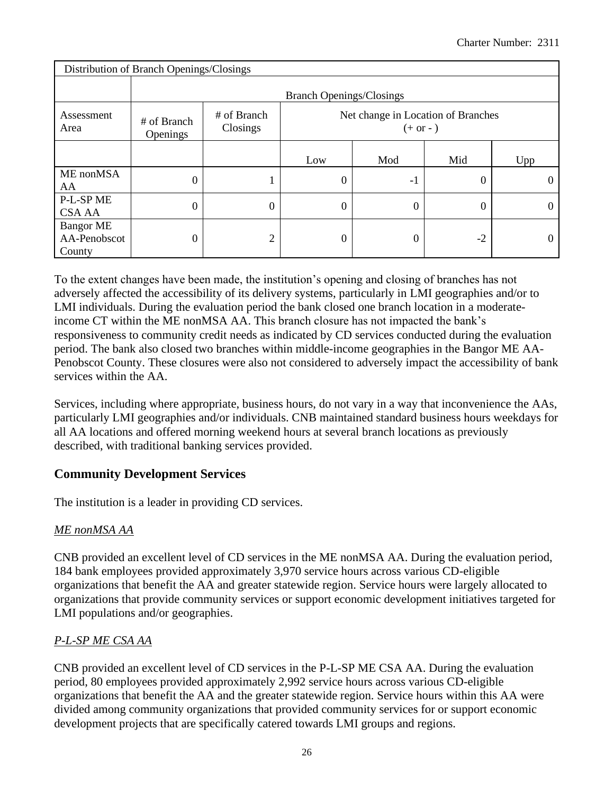|                                            | Distribution of Branch Openings/Closings |                                                                             |                  |     |      |     |  |  |  |  |  |  |  |  |
|--------------------------------------------|------------------------------------------|-----------------------------------------------------------------------------|------------------|-----|------|-----|--|--|--|--|--|--|--|--|
|                                            |                                          | <b>Branch Openings/Closings</b>                                             |                  |     |      |     |  |  |  |  |  |  |  |  |
| Assessment<br>Area                         | # of Branch<br>Openings                  | # of Branch<br>Net change in Location of Branches<br>Closings<br>$(+ or -)$ |                  |     |      |     |  |  |  |  |  |  |  |  |
|                                            |                                          |                                                                             | Low              | Mod | Mid  | Upp |  |  |  |  |  |  |  |  |
| ME nonMSA<br>AA                            | $\overline{0}$                           | ı                                                                           | $\boldsymbol{0}$ | -1  |      |     |  |  |  |  |  |  |  |  |
| P-L-SP ME<br><b>CSA AA</b>                 | $\overline{0}$                           | $\boldsymbol{0}$                                                            | $\boldsymbol{0}$ | 0   |      |     |  |  |  |  |  |  |  |  |
| <b>Bangor ME</b><br>AA-Penobscot<br>County | $\boldsymbol{0}$                         | 2                                                                           | 0                | 0   | $-2$ |     |  |  |  |  |  |  |  |  |

To the extent changes have been made, the institution's opening and closing of branches has not adversely affected the accessibility of its delivery systems, particularly in LMI geographies and/or to LMI individuals. During the evaluation period the bank closed one branch location in a moderateincome CT within the ME nonMSA AA. This branch closure has not impacted the bank's responsiveness to community credit needs as indicated by CD services conducted during the evaluation period. The bank also closed two branches within middle-income geographies in the Bangor ME AA-Penobscot County. These closures were also not considered to adversely impact the accessibility of bank services within the AA.

Services, including where appropriate, business hours, do not vary in a way that inconvenience the AAs, particularly LMI geographies and/or individuals. CNB maintained standard business hours weekdays for all AA locations and offered morning weekend hours at several branch locations as previously described, with traditional banking services provided.

## **Community Development Services**

The institution is a leader in providing CD services.

## *ME nonMSA AA*

CNB provided an excellent level of CD services in the ME nonMSA AA. During the evaluation period, 184 bank employees provided approximately 3,970 service hours across various CD-eligible organizations that benefit the AA and greater statewide region. Service hours were largely allocated to organizations that provide community services or support economic development initiatives targeted for LMI populations and/or geographies.

## *P-L-SP ME CSA AA*

CNB provided an excellent level of CD services in the P-L-SP ME CSA AA. During the evaluation period, 80 employees provided approximately 2,992 service hours across various CD-eligible organizations that benefit the AA and the greater statewide region. Service hours within this AA were divided among community organizations that provided community services for or support economic development projects that are specifically catered towards LMI groups and regions.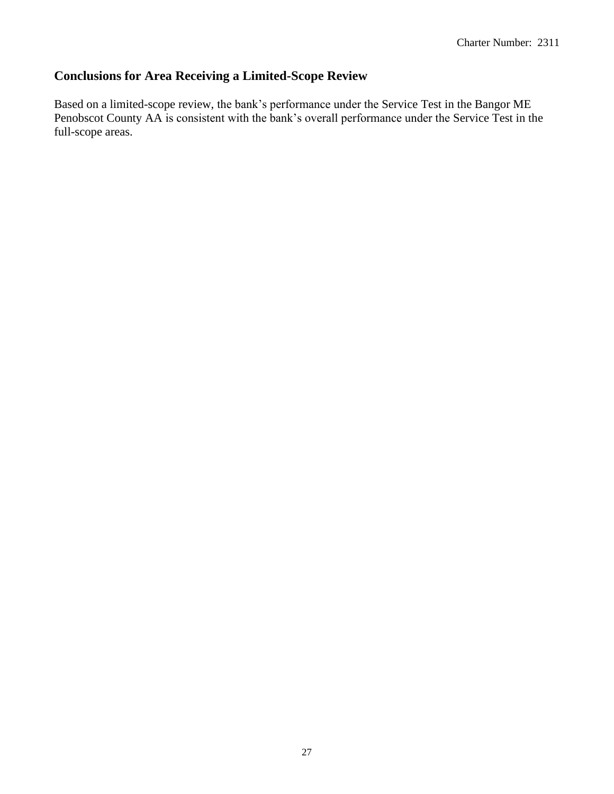## **Conclusions for Area Receiving a Limited-Scope Review**

Based on a limited-scope review, the bank's performance under the Service Test in the Bangor ME Penobscot County AA is consistent with the bank's overall performance under the Service Test in the full-scope areas.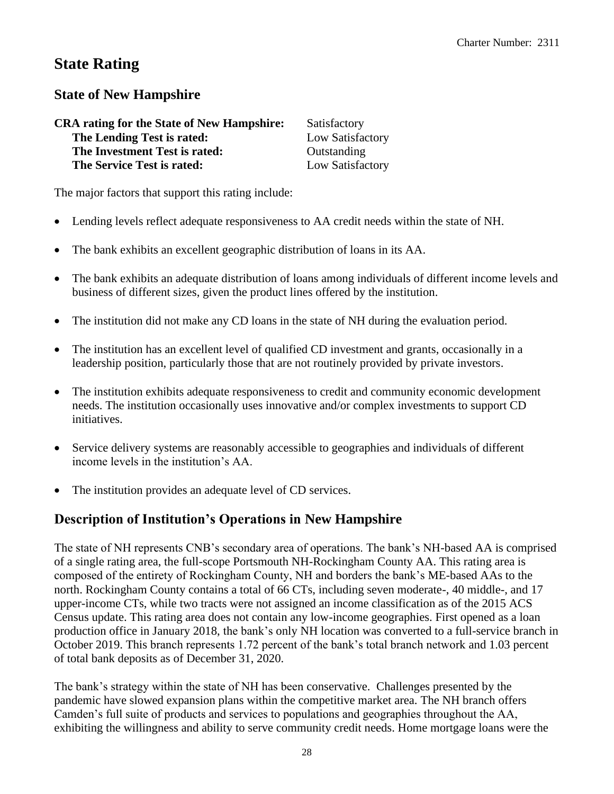## **State Rating**

## **State of New Hampshire**

| <b>CRA</b> rating for the State of New Hampshire: | Satisfactory     |
|---------------------------------------------------|------------------|
| The Lending Test is rated:                        | Low Satisfactory |
| The Investment Test is rated:                     | Outstanding      |
| The Service Test is rated:                        | Low Satisfactory |

The major factors that support this rating include:

- Lending levels reflect adequate responsiveness to AA credit needs within the state of NH.
- The bank exhibits an excellent geographic distribution of loans in its AA.
- The bank exhibits an adequate distribution of loans among individuals of different income levels and business of different sizes, given the product lines offered by the institution.
- The institution did not make any CD loans in the state of NH during the evaluation period.
- The institution has an excellent level of qualified CD investment and grants, occasionally in a leadership position, particularly those that are not routinely provided by private investors.
- The institution exhibits adequate responsiveness to credit and community economic development needs. The institution occasionally uses innovative and/or complex investments to support CD initiatives.
- Service delivery systems are reasonably accessible to geographies and individuals of different income levels in the institution's AA.
- The institution provides an adequate level of CD services.

## **Description of Institution's Operations in New Hampshire**

The state of NH represents CNB's secondary area of operations. The bank's NH-based AA is comprised of a single rating area, the full-scope Portsmouth NH-Rockingham County AA. This rating area is composed of the entirety of Rockingham County, NH and borders the bank's ME-based AAs to the north. Rockingham County contains a total of 66 CTs, including seven moderate-, 40 middle-, and 17 upper-income CTs, while two tracts were not assigned an income classification as of the 2015 ACS Census update. This rating area does not contain any low-income geographies. First opened as a loan production office in January 2018, the bank's only NH location was converted to a full-service branch in October 2019. This branch represents 1.72 percent of the bank's total branch network and 1.03 percent of total bank deposits as of December 31, 2020.

The bank's strategy within the state of NH has been conservative. Challenges presented by the pandemic have slowed expansion plans within the competitive market area. The NH branch offers Camden's full suite of products and services to populations and geographies throughout the AA, exhibiting the willingness and ability to serve community credit needs. Home mortgage loans were the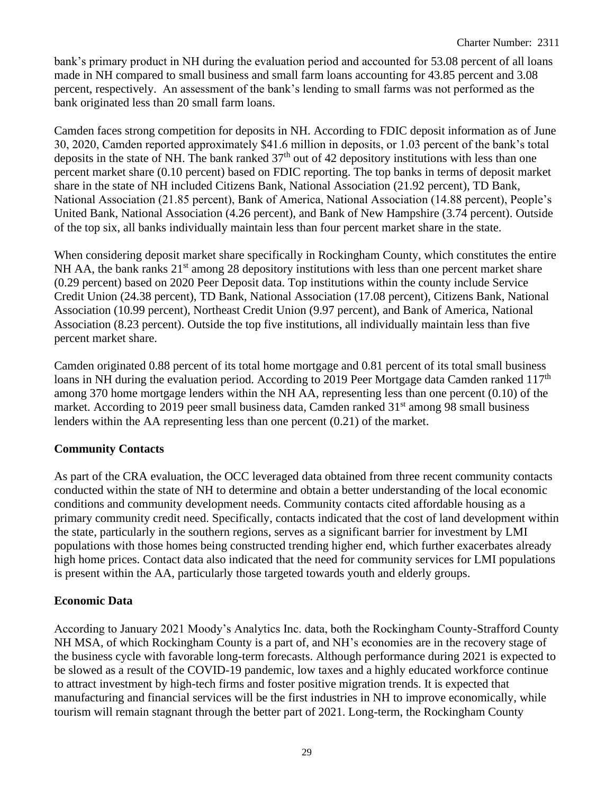bank's primary product in NH during the evaluation period and accounted for 53.08 percent of all loans made in NH compared to small business and small farm loans accounting for 43.85 percent and 3.08 percent, respectively. An assessment of the bank's lending to small farms was not performed as the bank originated less than 20 small farm loans.

Camden faces strong competition for deposits in NH. According to FDIC deposit information as of June 30, 2020, Camden reported approximately \$41.6 million in deposits, or 1.03 percent of the bank's total deposits in the state of NH. The bank ranked  $37<sup>th</sup>$  out of 42 depository institutions with less than one percent market share (0.10 percent) based on FDIC reporting. The top banks in terms of deposit market share in the state of NH included Citizens Bank, National Association (21.92 percent), TD Bank, National Association (21.85 percent), Bank of America, National Association (14.88 percent), People's United Bank, National Association (4.26 percent), and Bank of New Hampshire (3.74 percent). Outside of the top six, all banks individually maintain less than four percent market share in the state.

When considering deposit market share specifically in Rockingham County, which constitutes the entire NH AA, the bank ranks  $21<sup>st</sup>$  among 28 depository institutions with less than one percent market share (0.29 percent) based on 2020 Peer Deposit data. Top institutions within the county include Service Credit Union (24.38 percent), TD Bank, National Association (17.08 percent), Citizens Bank, National Association (10.99 percent), Northeast Credit Union (9.97 percent), and Bank of America, National Association (8.23 percent). Outside the top five institutions, all individually maintain less than five percent market share.

Camden originated 0.88 percent of its total home mortgage and 0.81 percent of its total small business loans in NH during the evaluation period. According to 2019 Peer Mortgage data Camden ranked 117<sup>th</sup> among 370 home mortgage lenders within the NH AA, representing less than one percent (0.10) of the market. According to 2019 peer small business data, Camden ranked 31<sup>st</sup> among 98 small business lenders within the AA representing less than one percent (0.21) of the market.

#### **Community Contacts**

As part of the CRA evaluation, the OCC leveraged data obtained from three recent community contacts conducted within the state of NH to determine and obtain a better understanding of the local economic conditions and community development needs. Community contacts cited affordable housing as a primary community credit need. Specifically, contacts indicated that the cost of land development within the state, particularly in the southern regions, serves as a significant barrier for investment by LMI populations with those homes being constructed trending higher end, which further exacerbates already high home prices. Contact data also indicated that the need for community services for LMI populations is present within the AA, particularly those targeted towards youth and elderly groups.

#### **Economic Data**

According to January 2021 Moody's Analytics Inc. data, both the Rockingham County-Strafford County NH MSA, of which Rockingham County is a part of, and NH's economies are in the recovery stage of the business cycle with favorable long-term forecasts. Although performance during 2021 is expected to be slowed as a result of the COVID-19 pandemic, low taxes and a highly educated workforce continue to attract investment by high-tech firms and foster positive migration trends. It is expected that manufacturing and financial services will be the first industries in NH to improve economically, while tourism will remain stagnant through the better part of 2021. Long-term, the Rockingham County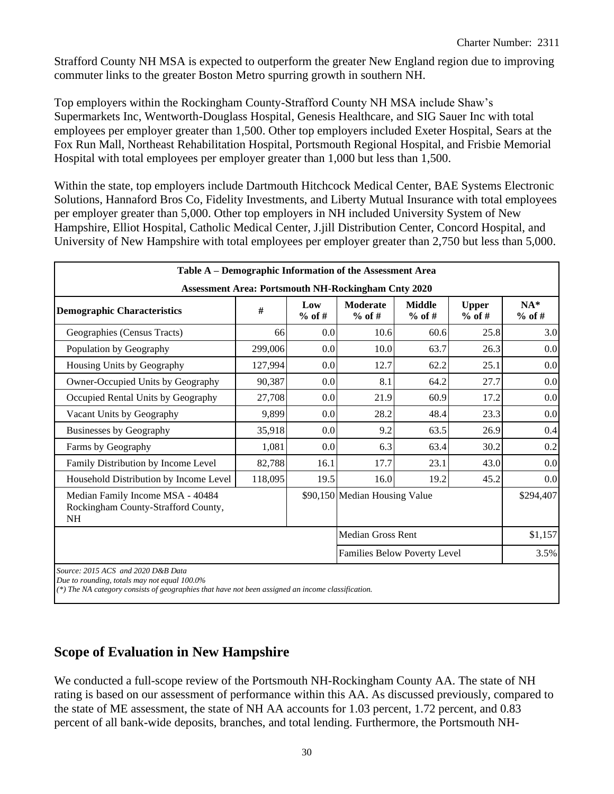Strafford County NH MSA is expected to outperform the greater New England region due to improving commuter links to the greater Boston Metro spurring growth in southern NH.

Top employers within the Rockingham County-Strafford County NH MSA include Shaw's Supermarkets Inc, Wentworth-Douglass Hospital, Genesis Healthcare, and SIG Sauer Inc with total employees per employer greater than 1,500. Other top employers included Exeter Hospital, Sears at the Fox Run Mall, Northeast Rehabilitation Hospital, Portsmouth Regional Hospital, and Frisbie Memorial Hospital with total employees per employer greater than 1,000 but less than 1,500.

Within the state, top employers include Dartmouth Hitchcock Medical Center, BAE Systems Electronic Solutions, Hannaford Bros Co, Fidelity Investments, and Liberty Mutual Insurance with total employees per employer greater than 5,000. Other top employers in NH included University System of New Hampshire, Elliot Hospital, Catholic Medical Center, J.jill Distribution Center, Concord Hospital, and University of New Hampshire with total employees per employer greater than 2,750 but less than 5,000.

| Table A – Demographic Information of the Assessment Area                             |         |                 |                                                            |                           |                          |                   |
|--------------------------------------------------------------------------------------|---------|-----------------|------------------------------------------------------------|---------------------------|--------------------------|-------------------|
|                                                                                      |         |                 | <b>Assessment Area: Portsmouth NH-Rockingham Cnty 2020</b> |                           |                          |                   |
| <b>Demographic Characteristics</b>                                                   | #       | Low<br>$%$ of # | <b>Moderate</b><br>$%$ of #                                | <b>Middle</b><br>$%$ of # | <b>Upper</b><br>$%$ of # | $NA*$<br>$%$ of # |
| Geographies (Census Tracts)                                                          | 66      | 0.0             | 10.6                                                       | 60.6                      | 25.8                     | 3.0               |
| Population by Geography                                                              | 299,006 | 0.0             | 10.0                                                       | 63.7                      | 26.3                     | 0.0               |
| Housing Units by Geography                                                           | 127,994 | 0.0             | 12.7                                                       | 62.2                      | 25.1                     | 0.0               |
| Owner-Occupied Units by Geography                                                    | 90,387  | 0.0             | 8.1                                                        | 64.2                      | 27.7                     | 0.0               |
| Occupied Rental Units by Geography                                                   | 27,708  | 0.0             | 21.9                                                       | 60.9                      | 17.2                     | 0.0               |
| Vacant Units by Geography                                                            | 9,899   | 0.0             | 28.2                                                       | 48.4                      | 23.3                     | 0.0               |
| <b>Businesses by Geography</b>                                                       | 35,918  | 0.0             | 9.2                                                        | 63.5                      | 26.9                     | 0.4               |
| Farms by Geography                                                                   | 1,081   | 0.0             | 6.3                                                        | 63.4                      | 30.2                     | 0.2               |
| Family Distribution by Income Level                                                  | 82,788  | 16.1            | 17.7                                                       | 23.1                      | 43.0                     | 0.0               |
| Household Distribution by Income Level                                               | 118,095 | 19.5            | 16.0                                                       | 19.2                      | 45.2                     | 0.0               |
| Median Family Income MSA - 40484<br>Rockingham County-Strafford County,<br><b>NH</b> |         |                 | \$90,150 Median Housing Value                              |                           |                          | \$294,407         |
|                                                                                      |         |                 | Median Gross Rent                                          |                           |                          | \$1,157           |
|                                                                                      |         |                 | <b>Families Below Poverty Level</b>                        |                           |                          | 3.5%              |
| Source: 2015 ACS and 2020 D&B Data<br>Due to rounding, totals may not equal 100.0%   |         |                 |                                                            |                           |                          |                   |

*(\*) The NA category consists of geographies that have not been assigned an income classification.*

## **Scope of Evaluation in New Hampshire**

We conducted a full-scope review of the Portsmouth NH-Rockingham County AA. The state of NH rating is based on our assessment of performance within this AA. As discussed previously, compared to the state of ME assessment, the state of NH AA accounts for 1.03 percent, 1.72 percent, and 0.83 percent of all bank-wide deposits, branches, and total lending. Furthermore, the Portsmouth NH-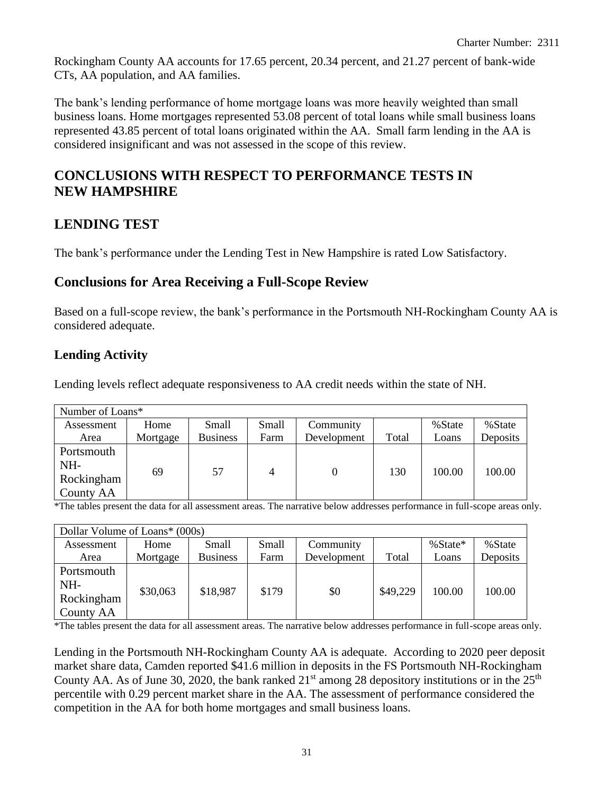Rockingham County AA accounts for 17.65 percent, 20.34 percent, and 21.27 percent of bank-wide CTs, AA population, and AA families.

The bank's lending performance of home mortgage loans was more heavily weighted than small business loans. Home mortgages represented 53.08 percent of total loans while small business loans represented 43.85 percent of total loans originated within the AA. Small farm lending in the AA is considered insignificant and was not assessed in the scope of this review.

## **CONCLUSIONS WITH RESPECT TO PERFORMANCE TESTS IN NEW HAMPSHIRE**

## **LENDING TEST**

The bank's performance under the Lending Test in New Hampshire is rated Low Satisfactory.

## **Conclusions for Area Receiving a Full-Scope Review**

Based on a full-scope review, the bank's performance in the Portsmouth NH-Rockingham County AA is considered adequate.

## **Lending Activity**

Lending levels reflect adequate responsiveness to AA credit needs within the state of NH.

| Number of Loans* |          |                 |       |             |       |        |          |
|------------------|----------|-----------------|-------|-------------|-------|--------|----------|
| Assessment       | Home     | Small           | Small | Community   |       | %State | %State   |
| Area             | Mortgage | <b>Business</b> | Farm  | Development | Total | Loans  | Deposits |
| Portsmouth       |          |                 |       |             |       |        |          |
| NH-              |          |                 |       |             |       |        |          |
| Rockingham       | 69       | 57              | 4     | $\theta$    | 130   | 100.00 | 100.00   |
| County AA        |          |                 |       |             |       |        |          |

\*The tables present the data for all assessment areas. The narrative below addresses performance in full-scope areas only.

| Dollar Volume of Loans* (000s)               |          |                 |       |             |          |            |          |
|----------------------------------------------|----------|-----------------|-------|-------------|----------|------------|----------|
| Assessment                                   | Home     | Small           | Small | Community   |          | $% State*$ | % State  |
| Area                                         | Mortgage | <b>Business</b> | Farm  | Development | Total    | Loans      | Deposits |
| Portsmouth<br>NH-<br>Rockingham<br>County AA | \$30,063 | \$18,987        | \$179 | \$0         | \$49,229 | 100.00     | 100.00   |

\*The tables present the data for all assessment areas. The narrative below addresses performance in full-scope areas only.

Lending in the Portsmouth NH-Rockingham County AA is adequate. According to 2020 peer deposit market share data, Camden reported \$41.6 million in deposits in the FS Portsmouth NH-Rockingham County AA. As of June 30, 2020, the bank ranked  $21<sup>st</sup>$  among 28 depository institutions or in the  $25<sup>th</sup>$ percentile with 0.29 percent market share in the AA. The assessment of performance considered the competition in the AA for both home mortgages and small business loans.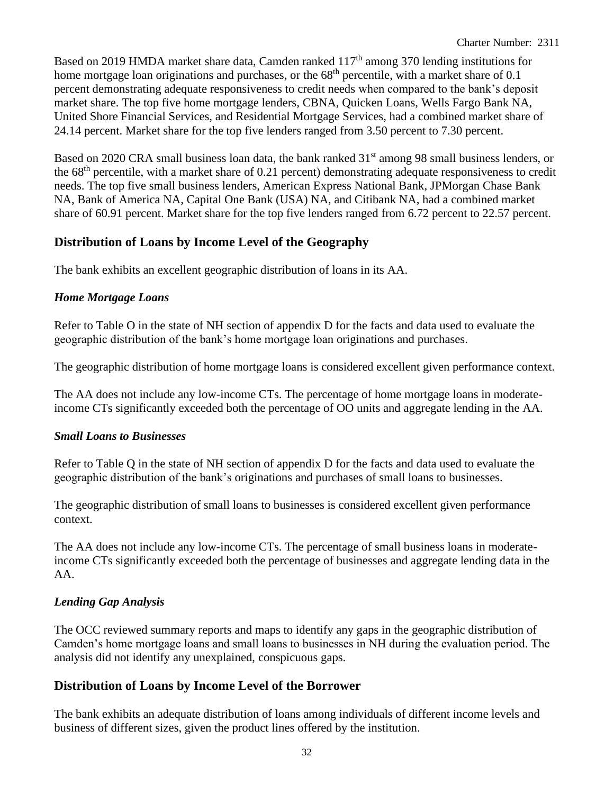Based on 2019 HMDA market share data, Camden ranked 117<sup>th</sup> among 370 lending institutions for home mortgage loan originations and purchases, or the  $68<sup>th</sup>$  percentile, with a market share of 0.1 percent demonstrating adequate responsiveness to credit needs when compared to the bank's deposit market share. The top five home mortgage lenders, CBNA, Quicken Loans, Wells Fargo Bank NA, United Shore Financial Services, and Residential Mortgage Services, had a combined market share of 24.14 percent. Market share for the top five lenders ranged from 3.50 percent to 7.30 percent.

Based on 2020 CRA small business loan data, the bank ranked 31<sup>st</sup> among 98 small business lenders, or the 68th percentile, with a market share of 0.21 percent) demonstrating adequate responsiveness to credit needs. The top five small business lenders, American Express National Bank, JPMorgan Chase Bank NA, Bank of America NA, Capital One Bank (USA) NA, and Citibank NA, had a combined market share of 60.91 percent. Market share for the top five lenders ranged from 6.72 percent to 22.57 percent.

#### **Distribution of Loans by Income Level of the Geography**

The bank exhibits an excellent geographic distribution of loans in its AA.

#### *Home Mortgage Loans*

Refer to Table O in the state of NH section of appendix D for the facts and data used to evaluate the geographic distribution of the bank's home mortgage loan originations and purchases.

The geographic distribution of home mortgage loans is considered excellent given performance context.

The AA does not include any low-income CTs. The percentage of home mortgage loans in moderateincome CTs significantly exceeded both the percentage of OO units and aggregate lending in the AA.

#### *Small Loans to Businesses*

Refer to Table Q in the state of NH section of appendix D for the facts and data used to evaluate the geographic distribution of the bank's originations and purchases of small loans to businesses.

The geographic distribution of small loans to businesses is considered excellent given performance context.

The AA does not include any low-income CTs. The percentage of small business loans in moderateincome CTs significantly exceeded both the percentage of businesses and aggregate lending data in the AA.

#### *Lending Gap Analysis*

The OCC reviewed summary reports and maps to identify any gaps in the geographic distribution of Camden's home mortgage loans and small loans to businesses in NH during the evaluation period. The analysis did not identify any unexplained, conspicuous gaps.

## **Distribution of Loans by Income Level of the Borrower**

The bank exhibits an adequate distribution of loans among individuals of different income levels and business of different sizes, given the product lines offered by the institution.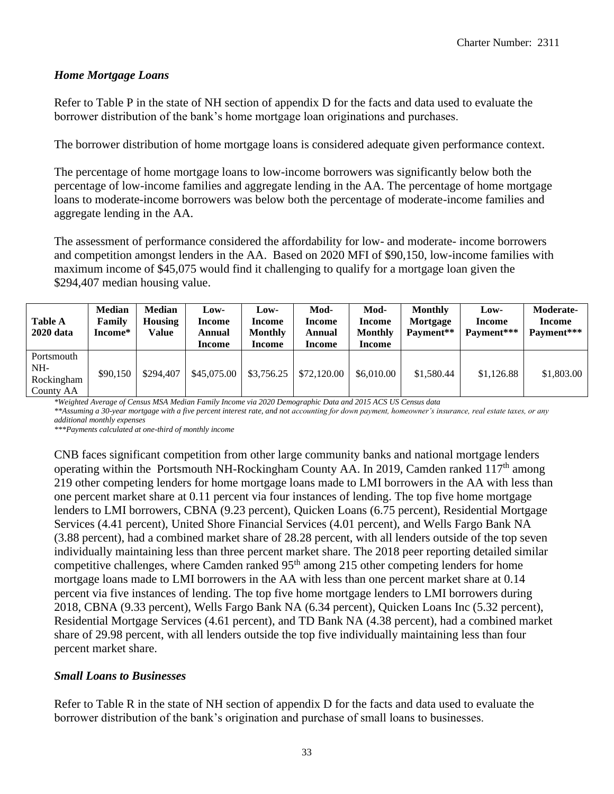#### *Home Mortgage Loans*

Refer to Table P in the state of NH section of appendix D for the facts and data used to evaluate the borrower distribution of the bank's home mortgage loan originations and purchases.

The borrower distribution of home mortgage loans is considered adequate given performance context.

The percentage of home mortgage loans to low-income borrowers was significantly below both the percentage of low-income families and aggregate lending in the AA. The percentage of home mortgage loans to moderate-income borrowers was below both the percentage of moderate-income families and aggregate lending in the AA.

The assessment of performance considered the affordability for low- and moderate- income borrowers and competition amongst lenders in the AA. Based on 2020 MFI of \$90,150, low-income families with maximum income of \$45,075 would find it challenging to qualify for a mortgage loan given the \$294,407 median housing value.

| <b>Table A</b><br><b>2020</b> data           | <b>Median</b><br>Family<br>Income* | <b>Median</b><br><b>Housing</b><br>Value | Low-<br>Income<br>Annual<br>Income | Low-<br>Income<br><b>Monthly</b><br>Income | Mod-<br>Income<br>Annual<br>Income | Mod-<br><b>Income</b><br><b>Monthly</b><br><b>Income</b> | <b>Monthly</b><br>Mortgage<br>Payment** | Low-<br>Income<br>Payment*** | Moderate-<br>Income<br>Payment*** |
|----------------------------------------------|------------------------------------|------------------------------------------|------------------------------------|--------------------------------------------|------------------------------------|----------------------------------------------------------|-----------------------------------------|------------------------------|-----------------------------------|
| Portsmouth<br>NH-<br>Rockingham<br>County AA | \$90,150                           | \$294,407                                | \$45,075.00                        | \$3,756.25                                 | \$72,120.00                        | \$6,010.00                                               | \$1,580.44                              | \$1,126.88                   | \$1,803.00                        |

*\*Weighted Average of Census MSA Median Family Income via 2020 Demographic Data and 2015 ACS US Census data \*\*Assuming a 30-year mortgage with a five percent interest rate, and not accounting for down payment, homeowner's insurance, real estate taxes, or any additional monthly expenses*

*\*\*\*Payments calculated at one-third of monthly income*

CNB faces significant competition from other large community banks and national mortgage lenders operating within the Portsmouth NH-Rockingham County AA. In 2019, Camden ranked  $117<sup>th</sup>$  among 219 other competing lenders for home mortgage loans made to LMI borrowers in the AA with less than one percent market share at 0.11 percent via four instances of lending. The top five home mortgage lenders to LMI borrowers, CBNA (9.23 percent), Quicken Loans (6.75 percent), Residential Mortgage Services (4.41 percent), United Shore Financial Services (4.01 percent), and Wells Fargo Bank NA (3.88 percent), had a combined market share of 28.28 percent, with all lenders outside of the top seven individually maintaining less than three percent market share. The 2018 peer reporting detailed similar competitive challenges, where Camden ranked 95<sup>th</sup> among 215 other competing lenders for home mortgage loans made to LMI borrowers in the AA with less than one percent market share at 0.14 percent via five instances of lending. The top five home mortgage lenders to LMI borrowers during 2018, CBNA (9.33 percent), Wells Fargo Bank NA (6.34 percent), Quicken Loans Inc (5.32 percent), Residential Mortgage Services (4.61 percent), and TD Bank NA (4.38 percent), had a combined market share of 29.98 percent, with all lenders outside the top five individually maintaining less than four percent market share.

#### *Small Loans to Businesses*

Refer to Table R in the state of NH section of appendix D for the facts and data used to evaluate the borrower distribution of the bank's origination and purchase of small loans to businesses.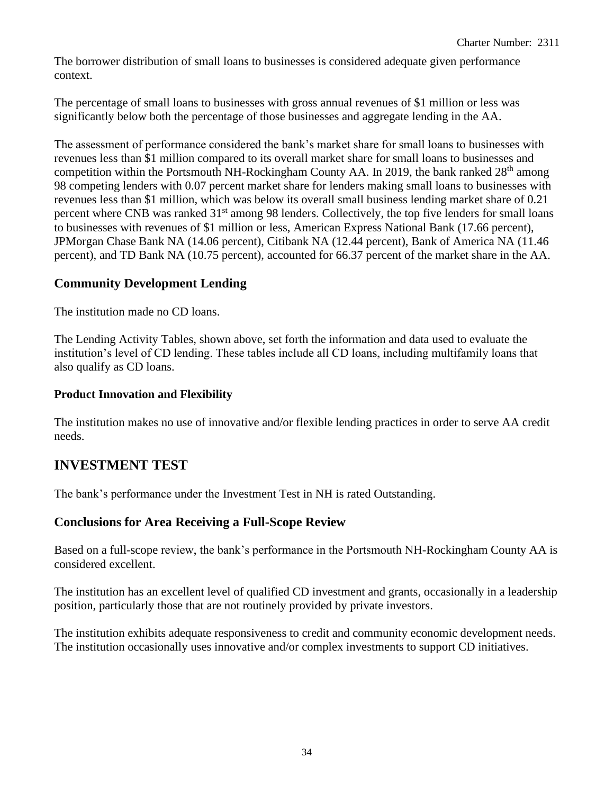The borrower distribution of small loans to businesses is considered adequate given performance context.

The percentage of small loans to businesses with gross annual revenues of \$1 million or less was significantly below both the percentage of those businesses and aggregate lending in the AA.

The assessment of performance considered the bank's market share for small loans to businesses with revenues less than \$1 million compared to its overall market share for small loans to businesses and competition within the Portsmouth NH-Rockingham County AA. In 2019, the bank ranked  $28<sup>th</sup>$  among 98 competing lenders with 0.07 percent market share for lenders making small loans to businesses with revenues less than \$1 million, which was below its overall small business lending market share of 0.21 percent where CNB was ranked 31<sup>st</sup> among 98 lenders. Collectively, the top five lenders for small loans to businesses with revenues of \$1 million or less, American Express National Bank (17.66 percent), JPMorgan Chase Bank NA (14.06 percent), Citibank NA (12.44 percent), Bank of America NA (11.46 percent), and TD Bank NA (10.75 percent), accounted for 66.37 percent of the market share in the AA.

## **Community Development Lending**

The institution made no CD loans.

The Lending Activity Tables, shown above, set forth the information and data used to evaluate the institution's level of CD lending. These tables include all CD loans, including multifamily loans that also qualify as CD loans.

#### **Product Innovation and Flexibility**

The institution makes no use of innovative and/or flexible lending practices in order to serve AA credit needs.

## **INVESTMENT TEST**

The bank's performance under the Investment Test in NH is rated Outstanding.

## **Conclusions for Area Receiving a Full-Scope Review**

Based on a full-scope review, the bank's performance in the Portsmouth NH-Rockingham County AA is considered excellent.

The institution has an excellent level of qualified CD investment and grants, occasionally in a leadership position, particularly those that are not routinely provided by private investors.

The institution exhibits adequate responsiveness to credit and community economic development needs. The institution occasionally uses innovative and/or complex investments to support CD initiatives.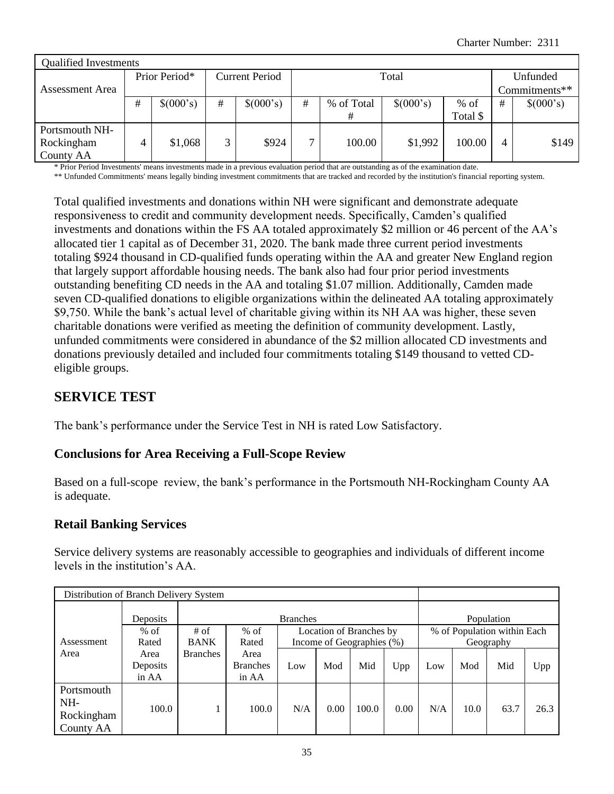| <b>Qualified Investments</b> |   |               |                       |           |              |            |           |               |   |           |
|------------------------------|---|---------------|-----------------------|-----------|--------------|------------|-----------|---------------|---|-----------|
|                              |   | Prior Period* | <b>Current Period</b> | Unfunded  |              |            |           |               |   |           |
| Assessment Area              |   |               |                       |           |              |            |           | Commitments** |   |           |
|                              | # | \$(000's)     | #                     | \$(000's) | #            | % of Total | \$(000's) | $%$ of        | # | \$(000's) |
|                              |   |               |                       |           |              | #          |           | Total \$      |   |           |
| Portsmouth NH-               |   |               |                       |           |              |            |           |               |   |           |
| Rockingham                   |   | \$1,068       | 3                     | \$924     | $\mathbf{r}$ | 100.00     | \$1,992   | 100.00        | 4 | \$149     |
| County AA                    |   |               |                       |           |              |            |           |               |   |           |

\* Prior Period Investments' means investments made in a previous evaluation period that are outstanding as of the examination date.

\*\* Unfunded Commitments' means legally binding investment commitments that are tracked and recorded by the institution's financial reporting system.

Total qualified investments and donations within NH were significant and demonstrate adequate responsiveness to credit and community development needs. Specifically, Camden's qualified investments and donations within the FS AA totaled approximately \$2 million or 46 percent of the AA's allocated tier 1 capital as of December 31, 2020. The bank made three current period investments totaling \$924 thousand in CD-qualified funds operating within the AA and greater New England region that largely support affordable housing needs. The bank also had four prior period investments outstanding benefiting CD needs in the AA and totaling \$1.07 million. Additionally, Camden made seven CD-qualified donations to eligible organizations within the delineated AA totaling approximately \$9,750. While the bank's actual level of charitable giving within its NH AA was higher, these seven charitable donations were verified as meeting the definition of community development. Lastly, unfunded commitments were considered in abundance of the \$2 million allocated CD investments and donations previously detailed and included four commitments totaling \$149 thousand to vetted CDeligible groups.

## **SERVICE TEST**

The bank's performance under the Service Test in NH is rated Low Satisfactory.

#### **Conclusions for Area Receiving a Full-Scope Review**

Based on a full-scope review, the bank's performance in the Portsmouth NH-Rockingham County AA is adequate.

#### **Retail Banking Services**

Service delivery systems are reasonably accessible to geographies and individuals of different income levels in the institution's AA.

| Distribution of Branch Delivery System |          |                 |                 |                 |      |                           |      |     |      |                             |      |
|----------------------------------------|----------|-----------------|-----------------|-----------------|------|---------------------------|------|-----|------|-----------------------------|------|
|                                        | Deposits |                 |                 | <b>Branches</b> |      |                           |      |     |      | Population                  |      |
|                                        | $%$ of   | $#$ of          | $%$ of          |                 |      | Location of Branches by   |      |     |      | % of Population within Each |      |
| Assessment                             | Rated    | <b>BANK</b>     | Rated           |                 |      | Income of Geographies (%) |      |     |      | Geography                   |      |
| Area                                   | Area     | <b>Branches</b> | Area            |                 |      |                           |      |     |      |                             |      |
|                                        | Deposits |                 | <b>Branches</b> | Low             | Mod  | Mid                       | Upp  | Low | Mod  | Mid                         | Upp  |
|                                        | in AA    |                 | in AA           |                 |      |                           |      |     |      |                             |      |
| Portsmouth                             |          |                 |                 |                 |      |                           |      |     |      |                             |      |
| NH-                                    |          |                 |                 |                 |      |                           | 0.00 |     |      |                             |      |
| Rockingham                             | 100.0    |                 | 100.0           | N/A             | 0.00 | 100.0                     |      | N/A | 10.0 | 63.7                        | 26.3 |
| County AA                              |          |                 |                 |                 |      |                           |      |     |      |                             |      |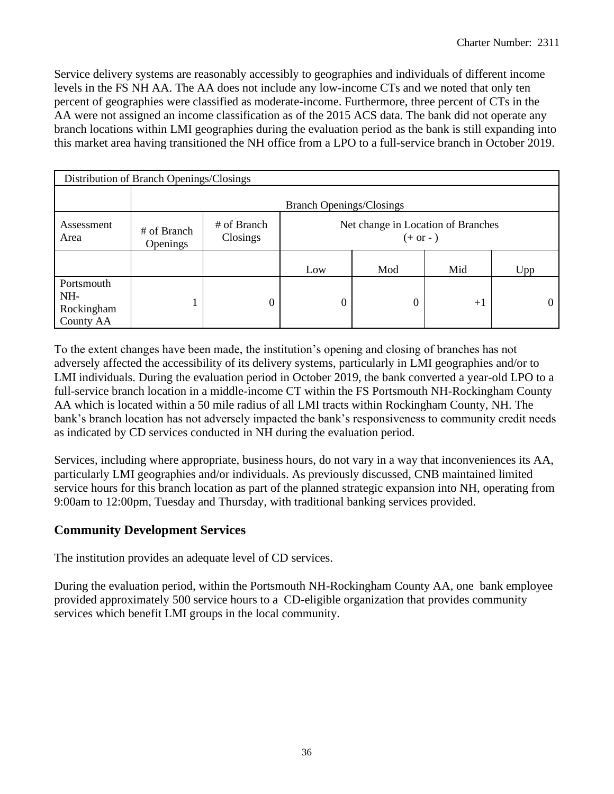Service delivery systems are reasonably accessibly to geographies and individuals of different income levels in the FS NH AA. The AA does not include any low-income CTs and we noted that only ten percent of geographies were classified as moderate-income. Furthermore, three percent of CTs in the AA were not assigned an income classification as of the 2015 ACS data. The bank did not operate any branch locations within LMI geographies during the evaluation period as the bank is still expanding into this market area having transitioned the NH office from a LPO to a full-service branch in October 2019.

|                                              | Distribution of Branch Openings/Closings |                                 |                                                  |     |      |     |  |  |  |  |  |  |  |
|----------------------------------------------|------------------------------------------|---------------------------------|--------------------------------------------------|-----|------|-----|--|--|--|--|--|--|--|
|                                              |                                          | <b>Branch Openings/Closings</b> |                                                  |     |      |     |  |  |  |  |  |  |  |
| Assessment<br>Area                           | # of Branch<br><b>Openings</b>           | # of Branch<br>Closings         | Net change in Location of Branches<br>$(+ or -)$ |     |      |     |  |  |  |  |  |  |  |
|                                              |                                          |                                 | Low                                              | Mod | Mid  | Upp |  |  |  |  |  |  |  |
| Portsmouth<br>NH-<br>Rockingham<br>County AA |                                          | 0                               |                                                  |     | $+1$ |     |  |  |  |  |  |  |  |

To the extent changes have been made, the institution's opening and closing of branches has not adversely affected the accessibility of its delivery systems, particularly in LMI geographies and/or to LMI individuals. During the evaluation period in October 2019, the bank converted a year-old LPO to a full-service branch location in a middle-income CT within the FS Portsmouth NH-Rockingham County AA which is located within a 50 mile radius of all LMI tracts within Rockingham County, NH. The bank's branch location has not adversely impacted the bank's responsiveness to community credit needs as indicated by CD services conducted in NH during the evaluation period.

Services, including where appropriate, business hours, do not vary in a way that inconveniences its AA, particularly LMI geographies and/or individuals. As previously discussed, CNB maintained limited service hours for this branch location as part of the planned strategic expansion into NH, operating from 9:00am to 12:00pm, Tuesday and Thursday, with traditional banking services provided.

## **Community Development Services**

The institution provides an adequate level of CD services.

During the evaluation period, within the Portsmouth NH-Rockingham County AA, one bank employee provided approximately 500 service hours to a CD-eligible organization that provides community services which benefit LMI groups in the local community.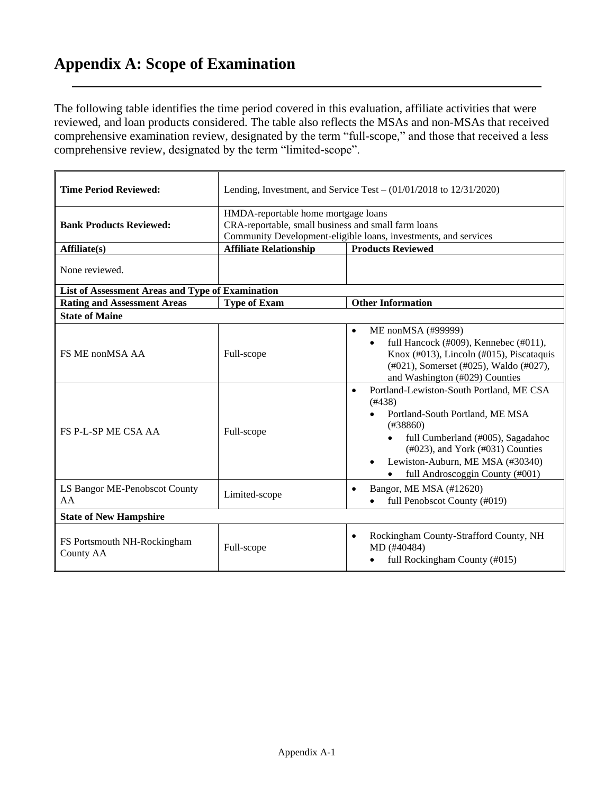## **Appendix A: Scope of Examination**

The following table identifies the time period covered in this evaluation, affiliate activities that were reviewed, and loan products considered. The table also reflects the MSAs and non-MSAs that received comprehensive examination review, designated by the term "full-scope," and those that received a less comprehensive review, designated by the term "limited-scope".

| <b>Time Period Reviewed:</b>                     |                                                                                            | Lending, Investment, and Service Test $-$ (01/01/2018 to 12/31/2020)                                                                                                                                                                                                                |
|--------------------------------------------------|--------------------------------------------------------------------------------------------|-------------------------------------------------------------------------------------------------------------------------------------------------------------------------------------------------------------------------------------------------------------------------------------|
| <b>Bank Products Reviewed:</b>                   | HMDA-reportable home mortgage loans<br>CRA-reportable, small business and small farm loans | Community Development-eligible loans, investments, and services                                                                                                                                                                                                                     |
| Affiliate(s)                                     | <b>Affiliate Relationship</b>                                                              | <b>Products Reviewed</b>                                                                                                                                                                                                                                                            |
| None reviewed.                                   |                                                                                            |                                                                                                                                                                                                                                                                                     |
| List of Assessment Areas and Type of Examination |                                                                                            |                                                                                                                                                                                                                                                                                     |
| <b>Rating and Assessment Areas</b>               | <b>Type of Exam</b>                                                                        | <b>Other Information</b>                                                                                                                                                                                                                                                            |
| <b>State of Maine</b>                            |                                                                                            |                                                                                                                                                                                                                                                                                     |
| FS ME nonMSA AA                                  | Full-scope                                                                                 | ME nonMSA (#99999)<br>$\bullet$<br>full Hancock (#009), Kennebec (#011),<br>$\bullet$<br>Knox (#013), Lincoln (#015), Piscataquis<br>(#021), Somerset (#025), Waldo (#027),<br>and Washington (#029) Counties                                                                       |
| <b>FS P-L-SP ME CSA AA</b>                       | Full-scope                                                                                 | Portland-Lewiston-South Portland, ME CSA<br>$\bullet$<br>(#438)<br>Portland-South Portland, ME MSA<br>(#38860)<br>full Cumberland (#005), Sagadahoc<br>$(\text{\#}023)$ , and York $(\text{\#}031)$ Counties<br>Lewiston-Auburn, ME MSA (#30340)<br>full Androscoggin County (#001) |
| LS Bangor ME-Penobscot County<br>AA              | Limited-scope                                                                              | Bangor, ME MSA (#12620)<br>$\bullet$<br>full Penobscot County (#019)                                                                                                                                                                                                                |
| <b>State of New Hampshire</b>                    |                                                                                            |                                                                                                                                                                                                                                                                                     |
| FS Portsmouth NH-Rockingham<br><b>County AA</b>  | Full-scope                                                                                 | Rockingham County-Strafford County, NH<br>$\bullet$<br>MD (#40484)<br>full Rockingham County (#015)                                                                                                                                                                                 |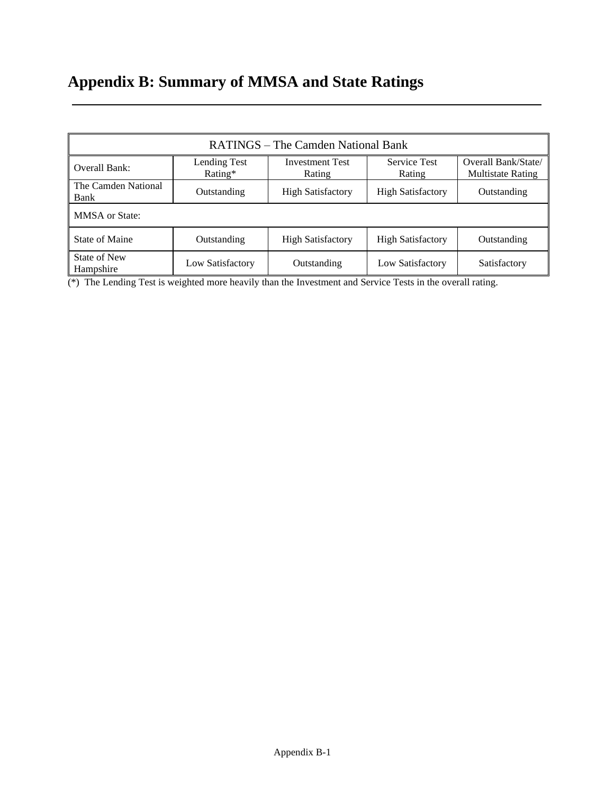# **Appendix B: Summary of MMSA and State Ratings**

|                             |                            | RATINGS – The Camden National Bank |                               |                                                 |
|-----------------------------|----------------------------|------------------------------------|-------------------------------|-------------------------------------------------|
| Overall Bank:               | Lending Test<br>Rating $*$ | <b>Investment Test</b><br>Rating   | <b>Service Test</b><br>Rating | Overall Bank/State/<br><b>Multistate Rating</b> |
| The Camden National<br>Bank | Outstanding                | <b>High Satisfactory</b>           | <b>High Satisfactory</b>      | Outstanding                                     |
| <b>MMSA</b> or State:       |                            |                                    |                               |                                                 |
| State of Maine              | Outstanding                | <b>High Satisfactory</b>           | <b>High Satisfactory</b>      | Outstanding                                     |
| State of New<br>Hampshire   | Low Satisfactory           | Outstanding                        | Low Satisfactory              | Satisfactory                                    |

(\*) The Lending Test is weighted more heavily than the Investment and Service Tests in the overall rating.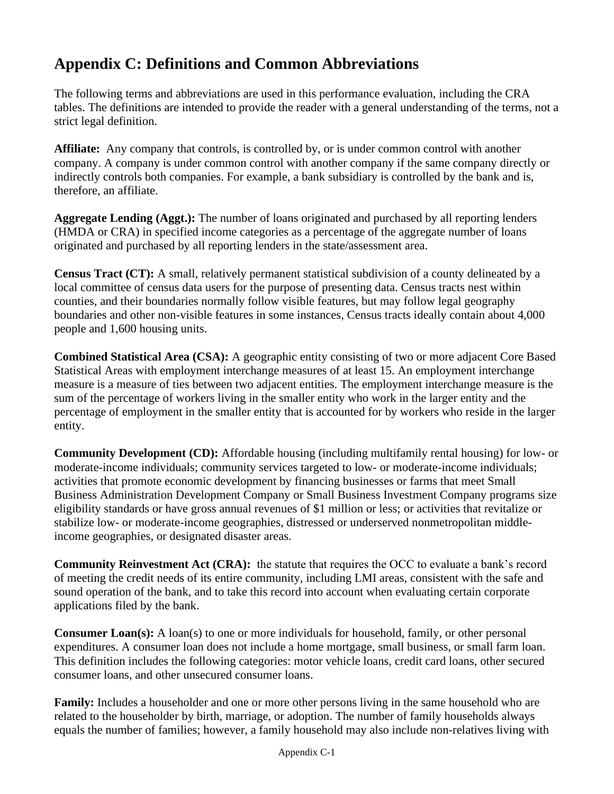## **Appendix C: Definitions and Common Abbreviations**

The following terms and abbreviations are used in this performance evaluation, including the CRA tables. The definitions are intended to provide the reader with a general understanding of the terms, not a strict legal definition.

**Affiliate:** Any company that controls, is controlled by, or is under common control with another company. A company is under common control with another company if the same company directly or indirectly controls both companies. For example, a bank subsidiary is controlled by the bank and is, therefore, an affiliate.

**Aggregate Lending (Aggt.):** The number of loans originated and purchased by all reporting lenders (HMDA or CRA) in specified income categories as a percentage of the aggregate number of loans originated and purchased by all reporting lenders in the state/assessment area.

**Census Tract (CT):** A small, relatively permanent statistical subdivision of a county delineated by a local committee of census data users for the purpose of presenting data. Census tracts nest within counties, and their boundaries normally follow visible features, but may follow legal geography boundaries and other non-visible features in some instances, Census tracts ideally contain about 4,000 people and 1,600 housing units.

**Combined Statistical Area (CSA):** A geographic entity consisting of two or more adjacent Core Based Statistical Areas with employment interchange measures of at least 15. An employment interchange measure is a measure of ties between two adjacent entities. The employment interchange measure is the sum of the percentage of workers living in the smaller entity who work in the larger entity and the percentage of employment in the smaller entity that is accounted for by workers who reside in the larger entity.

**Community Development (CD):** Affordable housing (including multifamily rental housing) for low- or moderate-income individuals; community services targeted to low- or moderate-income individuals; activities that promote economic development by financing businesses or farms that meet Small Business Administration Development Company or Small Business Investment Company programs size eligibility standards or have gross annual revenues of \$1 million or less; or activities that revitalize or stabilize low- or moderate-income geographies, distressed or underserved nonmetropolitan middleincome geographies, or designated disaster areas.

**Community Reinvestment Act (CRA):** the statute that requires the OCC to evaluate a bank's record of meeting the credit needs of its entire community, including LMI areas, consistent with the safe and sound operation of the bank, and to take this record into account when evaluating certain corporate applications filed by the bank.

**Consumer Loan(s):** A loan(s) to one or more individuals for household, family, or other personal expenditures. A consumer loan does not include a home mortgage, small business, or small farm loan. This definition includes the following categories: motor vehicle loans, credit card loans, other secured consumer loans, and other unsecured consumer loans.

**Family:** Includes a householder and one or more other persons living in the same household who are related to the householder by birth, marriage, or adoption. The number of family households always equals the number of families; however, a family household may also include non-relatives living with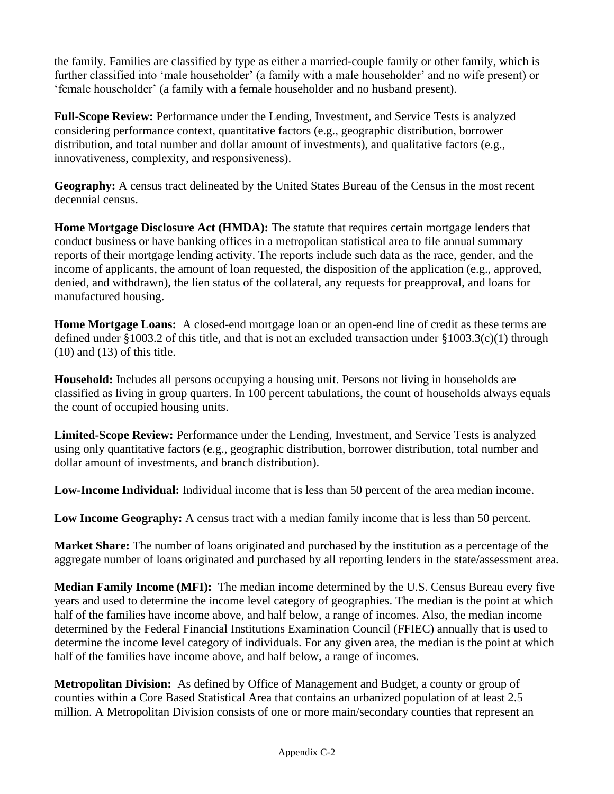the family. Families are classified by type as either a married-couple family or other family, which is further classified into 'male householder' (a family with a male householder' and no wife present) or 'female householder' (a family with a female householder and no husband present).

**Full-Scope Review:** Performance under the Lending, Investment, and Service Tests is analyzed considering performance context, quantitative factors (e.g., geographic distribution, borrower distribution, and total number and dollar amount of investments), and qualitative factors (e.g., innovativeness, complexity, and responsiveness).

**Geography:** A census tract delineated by the United States Bureau of the Census in the most recent decennial census.

**Home Mortgage Disclosure Act (HMDA):** The statute that requires certain mortgage lenders that conduct business or have banking offices in a metropolitan statistical area to file annual summary reports of their mortgage lending activity. The reports include such data as the race, gender, and the income of applicants, the amount of loan requested, the disposition of the application (e.g., approved, denied, and withdrawn), the lien status of the collateral, any requests for preapproval, and loans for manufactured housing.

**Home Mortgage Loans:** A closed-end mortgage loan or an open-end line of credit as these terms are defined under §1003.2 of this title, and that is not an excluded transaction under §1003.3(c)(1) through  $(10)$  and  $(13)$  of this title.

**Household:** Includes all persons occupying a housing unit. Persons not living in households are classified as living in group quarters. In 100 percent tabulations, the count of households always equals the count of occupied housing units.

**Limited-Scope Review:** Performance under the Lending, Investment, and Service Tests is analyzed using only quantitative factors (e.g., geographic distribution, borrower distribution, total number and dollar amount of investments, and branch distribution).

**Low-Income Individual:** Individual income that is less than 50 percent of the area median income.

**Low Income Geography:** A census tract with a median family income that is less than 50 percent.

**Market Share:** The number of loans originated and purchased by the institution as a percentage of the aggregate number of loans originated and purchased by all reporting lenders in the state/assessment area.

**Median Family Income (MFI):** The median income determined by the U.S. Census Bureau every five years and used to determine the income level category of geographies. The median is the point at which half of the families have income above, and half below, a range of incomes. Also, the median income determined by the Federal Financial Institutions Examination Council (FFIEC) annually that is used to determine the income level category of individuals. For any given area, the median is the point at which half of the families have income above, and half below, a range of incomes.

**Metropolitan Division:** As defined by Office of Management and Budget, a county or group of counties within a Core Based Statistical Area that contains an urbanized population of at least 2.5 million. A Metropolitan Division consists of one or more main/secondary counties that represent an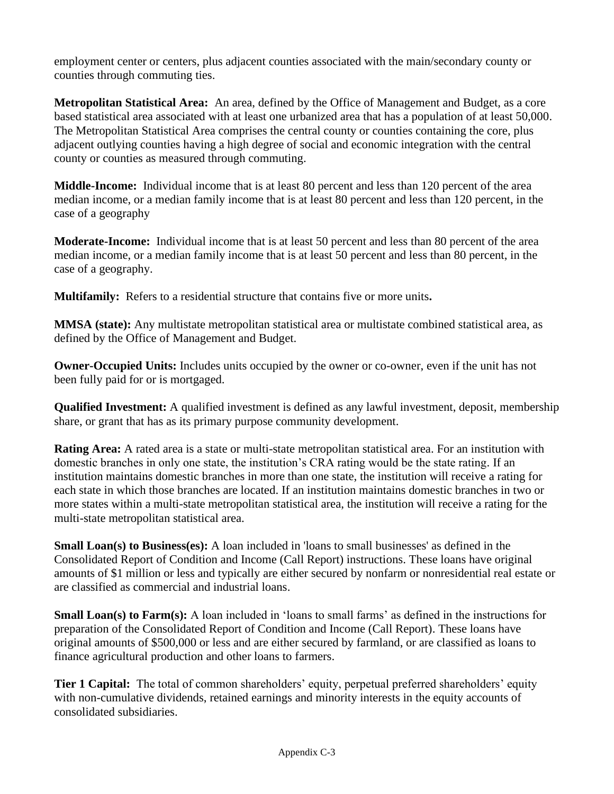employment center or centers, plus adjacent counties associated with the main/secondary county or counties through commuting ties.

**Metropolitan Statistical Area:** An area, defined by the Office of Management and Budget, as a core based statistical area associated with at least one urbanized area that has a population of at least 50,000. The Metropolitan Statistical Area comprises the central county or counties containing the core, plus adjacent outlying counties having a high degree of social and economic integration with the central county or counties as measured through commuting.

**Middle-Income:** Individual income that is at least 80 percent and less than 120 percent of the area median income, or a median family income that is at least 80 percent and less than 120 percent, in the case of a geography

**Moderate-Income:** Individual income that is at least 50 percent and less than 80 percent of the area median income, or a median family income that is at least 50 percent and less than 80 percent, in the case of a geography.

**Multifamily:** Refers to a residential structure that contains five or more units**.**

**MMSA (state):** Any multistate metropolitan statistical area or multistate combined statistical area, as defined by the Office of Management and Budget.

**Owner-Occupied Units:** Includes units occupied by the owner or co-owner, even if the unit has not been fully paid for or is mortgaged.

**Qualified Investment:** A qualified investment is defined as any lawful investment, deposit, membership share, or grant that has as its primary purpose community development.

**Rating Area:** A rated area is a state or multi-state metropolitan statistical area. For an institution with domestic branches in only one state, the institution's CRA rating would be the state rating. If an institution maintains domestic branches in more than one state, the institution will receive a rating for each state in which those branches are located. If an institution maintains domestic branches in two or more states within a multi-state metropolitan statistical area, the institution will receive a rating for the multi-state metropolitan statistical area.

**Small Loan(s) to Business(es):** A loan included in 'loans to small businesses' as defined in the Consolidated Report of Condition and Income (Call Report) instructions. These loans have original amounts of \$1 million or less and typically are either secured by nonfarm or nonresidential real estate or are classified as commercial and industrial loans.

**Small Loan(s) to Farm(s):** A loan included in 'loans to small farms' as defined in the instructions for preparation of the Consolidated Report of Condition and Income (Call Report). These loans have original amounts of \$500,000 or less and are either secured by farmland, or are classified as loans to finance agricultural production and other loans to farmers.

**Tier 1 Capital:** The total of common shareholders' equity, perpetual preferred shareholders' equity with non-cumulative dividends, retained earnings and minority interests in the equity accounts of consolidated subsidiaries.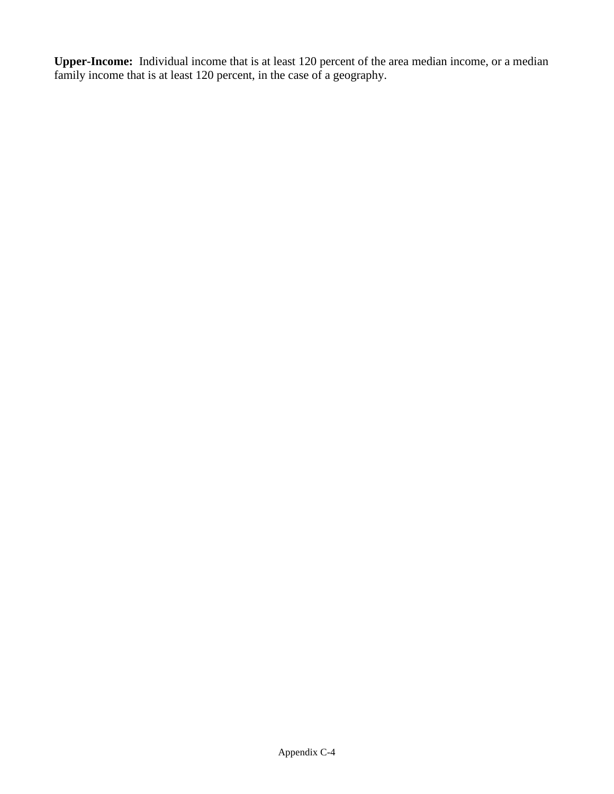**Upper-Income:** Individual income that is at least 120 percent of the area median income, or a median family income that is at least 120 percent, in the case of a geography.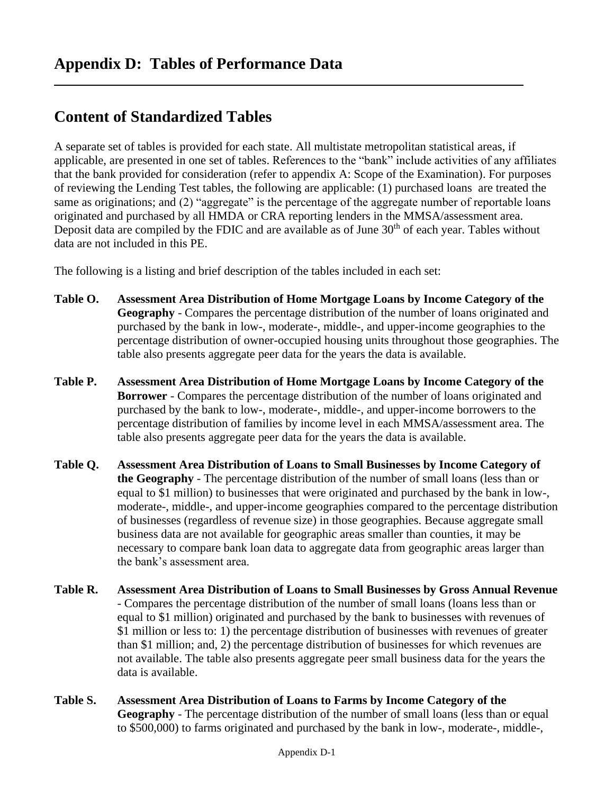## **Content of Standardized Tables**

A separate set of tables is provided for each state. All multistate metropolitan statistical areas, if applicable, are presented in one set of tables. References to the "bank" include activities of any affiliates that the bank provided for consideration (refer to appendix A: Scope of the Examination). For purposes of reviewing the Lending Test tables, the following are applicable: (1) purchased loans are treated the same as originations; and (2) "aggregate" is the percentage of the aggregate number of reportable loans originated and purchased by all HMDA or CRA reporting lenders in the MMSA/assessment area. Deposit data are compiled by the FDIC and are available as of June  $30<sup>th</sup>$  of each year. Tables without data are not included in this PE.

The following is a listing and brief description of the tables included in each set:

- **Table O. Assessment Area Distribution of Home Mortgage Loans by Income Category of the Geography** - Compares the percentage distribution of the number of loans originated and purchased by the bank in low-, moderate-, middle-, and upper-income geographies to the percentage distribution of owner-occupied housing units throughout those geographies. The table also presents aggregate peer data for the years the data is available.
- **Table P. Assessment Area Distribution of Home Mortgage Loans by Income Category of the Borrower** - Compares the percentage distribution of the number of loans originated and purchased by the bank to low-, moderate-, middle-, and upper-income borrowers to the percentage distribution of families by income level in each MMSA/assessment area. The table also presents aggregate peer data for the years the data is available.
- **Table Q. Assessment Area Distribution of Loans to Small Businesses by Income Category of the Geography** - The percentage distribution of the number of small loans (less than or equal to \$1 million) to businesses that were originated and purchased by the bank in low-, moderate-, middle-, and upper-income geographies compared to the percentage distribution of businesses (regardless of revenue size) in those geographies. Because aggregate small business data are not available for geographic areas smaller than counties, it may be necessary to compare bank loan data to aggregate data from geographic areas larger than the bank's assessment area.
- **Table R. Assessment Area Distribution of Loans to Small Businesses by Gross Annual Revenue** - Compares the percentage distribution of the number of small loans (loans less than or equal to \$1 million) originated and purchased by the bank to businesses with revenues of \$1 million or less to: 1) the percentage distribution of businesses with revenues of greater than \$1 million; and, 2) the percentage distribution of businesses for which revenues are not available. The table also presents aggregate peer small business data for the years the data is available.
- **Table S. Assessment Area Distribution of Loans to Farms by Income Category of the Geography** - The percentage distribution of the number of small loans (less than or equal to \$500,000) to farms originated and purchased by the bank in low-, moderate-, middle-,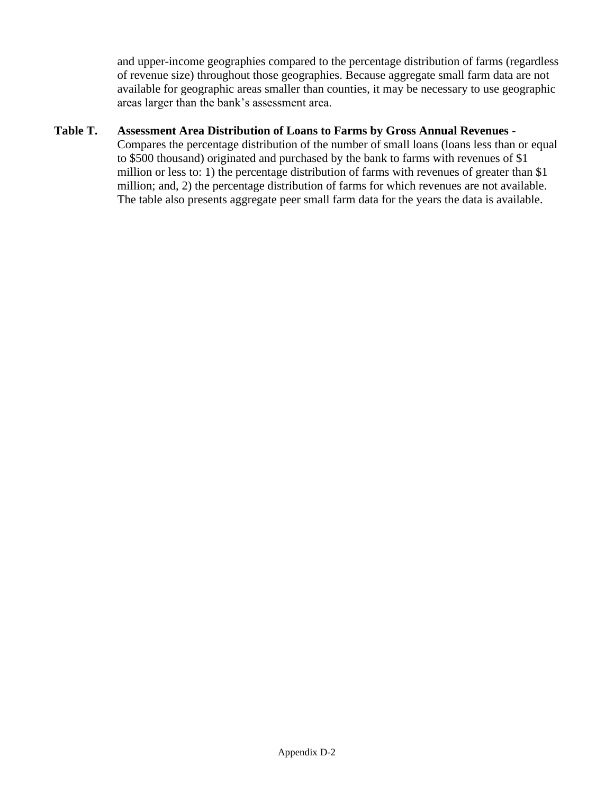and upper-income geographies compared to the percentage distribution of farms (regardless of revenue size) throughout those geographies. Because aggregate small farm data are not available for geographic areas smaller than counties, it may be necessary to use geographic areas larger than the bank's assessment area.

#### **Table T. Assessment Area Distribution of Loans to Farms by Gross Annual Revenues** -

Compares the percentage distribution of the number of small loans (loans less than or equal to \$500 thousand) originated and purchased by the bank to farms with revenues of \$1 million or less to: 1) the percentage distribution of farms with revenues of greater than \$1 million; and, 2) the percentage distribution of farms for which revenues are not available. The table also presents aggregate peer small farm data for the years the data is available.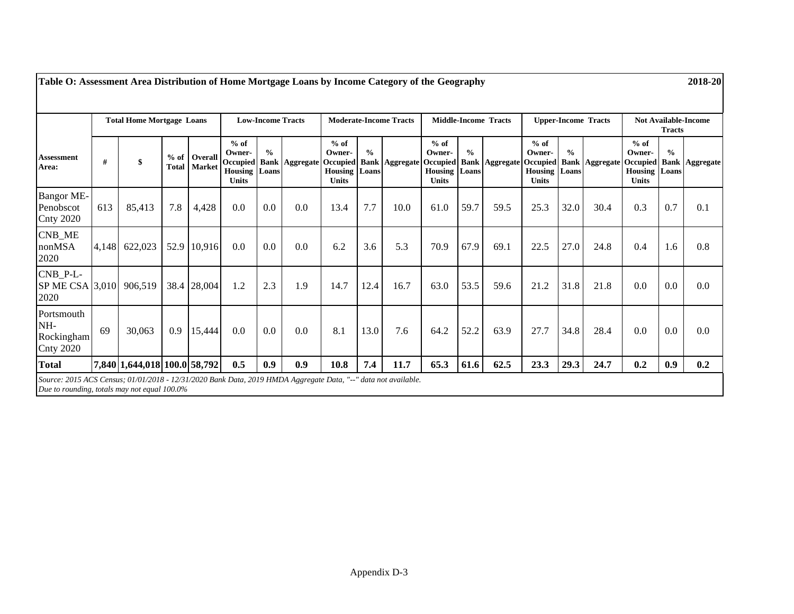|                                                     |     | <b>Total Home Mortgage Loans</b> |                 |                                 |                                                                             | <b>Low-Income Tracts</b> |                       |                                                                             |                              | <b>Moderate-Income Tracts</b> |                                                          |               | <b>Middle-Income Tracts</b>      |                                                    |                        | <b>Upper-Income Tracts</b>           | <b>Not Available-Income</b><br><b>Tracts</b> |                        |                       |
|-----------------------------------------------------|-----|----------------------------------|-----------------|---------------------------------|-----------------------------------------------------------------------------|--------------------------|-----------------------|-----------------------------------------------------------------------------|------------------------------|-------------------------------|----------------------------------------------------------|---------------|----------------------------------|----------------------------------------------------|------------------------|--------------------------------------|----------------------------------------------|------------------------|-----------------------|
| <b>Assessment</b><br>Area:                          | #   | \$                               | $%$ of<br>Total | <b>Overall</b><br><b>Market</b> | $%$ of<br>Owner-<br><b>Occupied</b><br><b>Housing</b> Loans<br><b>Units</b> | $\frac{0}{0}$            | <b>Bank Aggregate</b> | $%$ of<br>Owner-<br><b>Occupied</b><br><b>Housing</b> Loans<br><b>Units</b> | $\frac{0}{0}$<br><b>Bank</b> | <b>Aggregate</b>              | $%$ of<br>Owner-<br><b>Housing</b> Loans<br><b>Units</b> | $\frac{0}{0}$ | Occupied Bank Aggregate Occupied | $%$ of<br>Owner-<br><b>Housing</b><br><b>Units</b> | $\frac{0}{0}$<br>Loans | <b>Bank   Aggregate   Occupied  </b> | $%$ of<br>Owner-<br>Housing<br><b>Units</b>  | $\frac{0}{0}$<br>Loans | <b>Bank Aggregate</b> |
| <b>Bangor ME-</b><br>Penobscot<br><b>Cnty 2020</b>  | 613 | 85,413                           | 7.8             | 4,428                           | 0.0                                                                         | 0.0                      | 0.0                   | 13.4                                                                        | 7.7                          | 10.0                          | 61.0                                                     | 59.7          | 59.5                             | 25.3                                               | 32.0                   | 30.4                                 | 0.3                                          | 0.7                    | 0.1                   |
| CNB_ME<br>nonMSA<br>2020                            |     | 4,148 622,023                    |                 | 52.9 10,916                     | 0.0                                                                         | 0.0                      | 0.0                   | 6.2                                                                         | 3.6                          | 5.3                           | 70.9                                                     | 67.9          | 69.1                             | 22.5                                               | 27.0                   | 24.8                                 | 0.4                                          | 1.6                    | 0.8                   |
| $CNB_P-L$ -<br>SP ME CSA 3,010 906,519<br>2020      |     |                                  |                 | 38.4 28,004                     | 1.2                                                                         | 2.3                      | 1.9                   | 14.7                                                                        | 12.4                         | 16.7                          | 63.0                                                     | 53.5          | 59.6                             | 21.2                                               | 31.8                   | 21.8                                 | 0.0                                          | 0.0                    | $0.0\,$               |
| Portsmouth<br>NH-<br>Rockingham<br><b>Cnty 2020</b> | 69  | 30,063                           | 0.9             | 15,444                          | 0.0                                                                         | 0.0                      | 0.0                   | 8.1                                                                         | 13.0                         | 7.6                           | 64.2                                                     | 52.2          | 63.9                             | 27.7                                               | 34.8                   | 28.4                                 | 0.0                                          | 0.0                    | 0.0                   |
| <b>Total</b>                                        |     | 7,840 1,644,018 100.0 58,792     |                 |                                 | 0.5                                                                         | 0.9                      | 0.9                   | 10.8                                                                        | 7.4                          | 11.7                          | 65.3                                                     | 61.6          | 62.5                             | 23.3                                               | 29.3                   | 24.7                                 | 0.2                                          | 0.9                    | 0.2                   |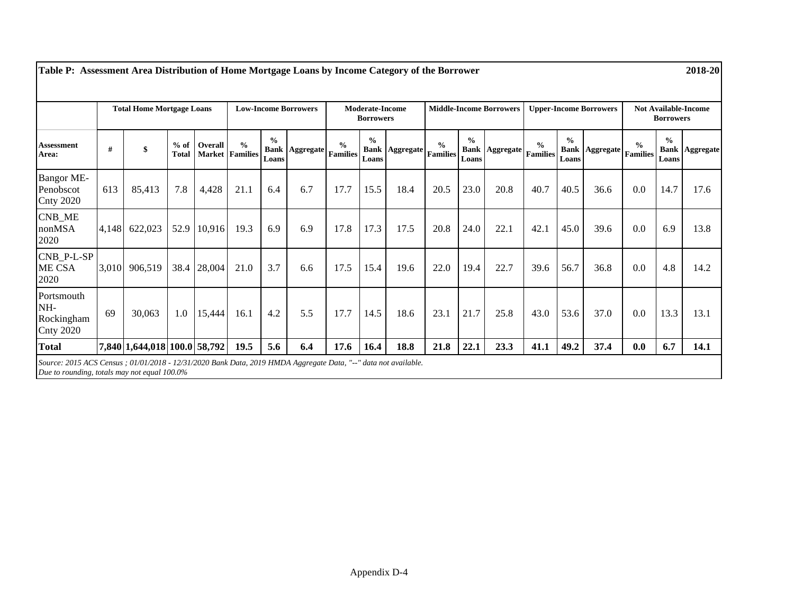|                                                     |       | <b>Total Home Mortgage Loans</b> |                        |             | <b>Low-Income Borrowers</b>             |                                       |                  | <b>Moderate-Income</b><br><b>Borrowers</b> |                                       |           | <b>Middle-Income Borrowers</b>   |                                       |                  | <b>Upper-Income Borrowers</b>    |                                       |                                               | <b>Not Available-Income</b><br><b>Borrowers</b> |                        |                       |
|-----------------------------------------------------|-------|----------------------------------|------------------------|-------------|-----------------------------------------|---------------------------------------|------------------|--------------------------------------------|---------------------------------------|-----------|----------------------------------|---------------------------------------|------------------|----------------------------------|---------------------------------------|-----------------------------------------------|-------------------------------------------------|------------------------|-----------------------|
| <b>Assessment</b><br>Area:                          | #     | \$                               | $%$ of<br><b>Total</b> | Overall     | $\frac{0}{0}$<br><b>Market</b> Families | $\frac{0}{0}$<br><b>Bank</b><br>Loans | <b>Aggregate</b> | $\frac{0}{0}$<br><b>Families</b>           | $\frac{0}{0}$<br><b>Bank</b><br>Loans | Aggregate | $\frac{0}{0}$<br><b>Families</b> | $\frac{0}{0}$<br><b>Bank</b><br>Loans | <b>Aggregate</b> | $\frac{0}{0}$<br><b>Families</b> | $\frac{6}{6}$<br><b>Bank</b><br>Loans | $[{\rm Aggregate}\left \rm{Families}\right ]$ | $\frac{0}{0}$                                   | $\frac{0}{0}$<br>Loans | <b>Bank Aggregate</b> |
| <b>Bangor ME-</b><br>Penobscot<br><b>Cnty 2020</b>  | 613   | 85,413                           | 7.8                    | 4,428       | 21.1                                    | 6.4                                   | 6.7              | 17.7                                       | 15.5                                  | 18.4      | 20.5                             | 23.0                                  | 20.8             | 40.7                             | 40.5                                  | 36.6                                          | 0.0                                             | 14.7                   | 17.6                  |
| <b>CNB_ME</b><br>nonMSA<br>2020                     | 4,148 | 622,023                          |                        | 52.9 10,916 | 19.3                                    | 6.9                                   | 6.9              | 17.8                                       | 17.3                                  | 17.5      | 20.8                             | 24.0                                  | 22.1             | 42.1                             | 45.0                                  | 39.6                                          | 0.0                                             | 6.9                    | 13.8                  |
| CNB_P-L-SP<br>ME CSA<br>2020                        |       | 3,010 906,519                    | 38.4                   | 28,004      | 21.0                                    | 3.7                                   | 6.6              | 17.5                                       | 15.4                                  | 19.6      | 22.0                             | 19.4                                  | 22.7             | 39.6                             | 56.7                                  | 36.8                                          | 0.0                                             | 4.8                    | 14.2                  |
| Portsmouth<br>NH-<br>Rockingham<br><b>Cnty 2020</b> | 69    | 30,063                           | 1.0                    | 15,444      | 16.1                                    | 4.2                                   | 5.5              | 17.7                                       | 14.5                                  | 18.6      | 23.1                             | 21.7                                  | 25.8             | 43.0                             | 53.6                                  | 37.0                                          | 0.0                                             | 13.3                   | 13.1                  |
| <b>Total</b>                                        |       | 7,840 1,644,018 100.0 58,792     |                        |             | 19.5                                    | 5.6                                   | 6.4              | 17.6                                       | 16.4                                  | 18.8      | 21.8                             | 22.1                                  | 23.3             | 41.1                             | 49.2                                  | 37.4                                          | 0.0                                             | 6.7                    | 14.1                  |

**Table P: Assessment Area Distribution of Home Mortgage Loans by Income Category of the Borrower 2018-20**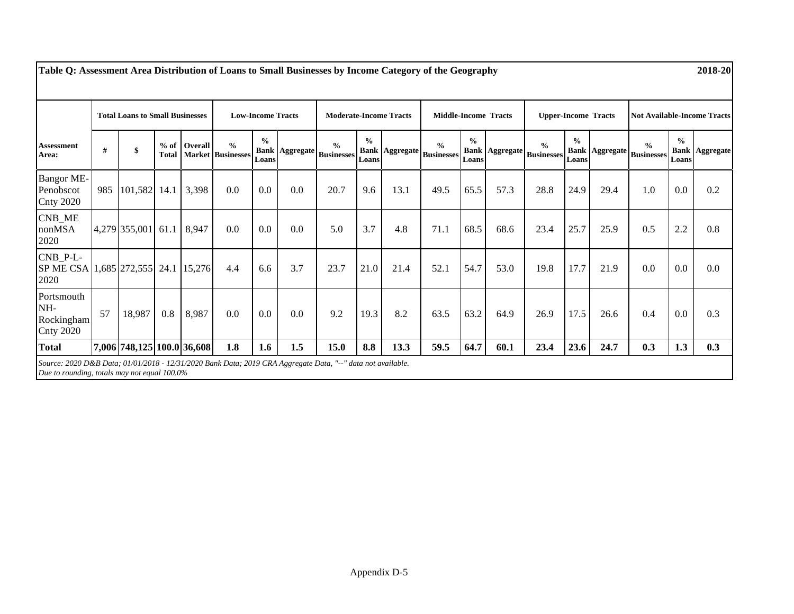|                                                                                                                                                             | <b>Total Loans to Small Businesses</b> |                            |     | <b>Low-Income Tracts</b> |                                                     |                        | <b>Moderate-Income Tracts</b> |                                            |                        | <b>Middle-Income Tracts</b> |                                                   |                        | <b>Upper-Income Tracts</b> |                                    |                        | <b>Not Available-Income Tracts</b> |                                    |                        |                       |
|-------------------------------------------------------------------------------------------------------------------------------------------------------------|----------------------------------------|----------------------------|-----|--------------------------|-----------------------------------------------------|------------------------|-------------------------------|--------------------------------------------|------------------------|-----------------------------|---------------------------------------------------|------------------------|----------------------------|------------------------------------|------------------------|------------------------------------|------------------------------------|------------------------|-----------------------|
| <b>Assessment</b><br>Area:                                                                                                                                  | #                                      | \$                         |     | % of Overall             | $\frac{0}{0}$<br><b>Total   Market   Businesses</b> | $\frac{0}{0}$<br>Loans |                               | $\frac{0}{0}$<br>Bank Aggregate Businesses | $\frac{0}{0}$<br>Loans |                             | $\frac{0}{0}$<br><b>Bank Aggregate Businesses</b> | $\frac{0}{0}$<br>Loans | <b>Bank Aggregate</b>      | $\frac{0}{0}$<br><b>Businesses</b> | $\frac{0}{0}$<br>Loans | <b>Bank Aggregate</b>              | $\frac{0}{0}$<br><b>Businesses</b> | $\frac{0}{0}$<br>Loans | <b>Bank Aggregate</b> |
| <b>Bangor ME-</b><br>Penobscot<br><b>Cnty 2020</b>                                                                                                          | 985                                    | 101,582 14.1               |     | 3,398                    | 0.0                                                 | 0.0                    | 0.0                           | 20.7                                       | 9.6                    | 13.1                        | 49.5                                              | 65.5                   | 57.3                       | 28.8                               | 24.9                   | 29.4                               | 1.0                                | 0.0                    | 0.2                   |
| CNB_ME<br>nonMSA<br>2020                                                                                                                                    |                                        | 4,279 355,001 61.1         |     | 8,947                    | 0.0                                                 | 0.0                    | 0.0                           | 5.0                                        | 3.7                    | 4.8                         | 71.1                                              | 68.5                   | 68.6                       | 23.4                               | 25.7                   | 25.9                               | 0.5                                | 2.2                    | 0.8                   |
| $CNB_P-L$<br>SP ME CSA 1,685 272,555 24.1 15,276<br>2020                                                                                                    |                                        |                            |     |                          | 4.4                                                 | 6.6                    | 3.7                           | 23.7                                       | 21.0                   | 21.4                        | 52.1                                              | 54.7                   | 53.0                       | 19.8                               | 17.7                   | 21.9                               | 0.0                                | 0.0                    | $0.0\,$               |
| Portsmouth<br>NH-<br>Rockingham<br><b>Cnty 2020</b>                                                                                                         | 57                                     | 18,987                     | 0.8 | 8,987                    | 0.0                                                 | 0.0                    | 0.0                           | 9.2                                        | 19.3                   | 8.2                         | 63.5                                              | 63.2                   | 64.9                       | 26.9                               | 17.5                   | 26.6                               | 0.4                                | 0.0                    | 0.3                   |
| <b>Total</b>                                                                                                                                                |                                        | 7,006 748,125 100.0 36,608 |     |                          | 1.8                                                 | 1.6                    | 1.5                           | 15.0                                       | 8.8                    | 13.3                        | 59.5                                              | 64.7                   | 60.1                       | 23.4                               | 23.6                   | 24.7                               | 0.3                                | 1.3                    | 0.3                   |
| Source: 2020 D&B Data; 01/01/2018 - 12/31/2020 Bank Data; 2019 CRA Aggregate Data, "--" data not available.<br>Due to rounding, totals may not equal 100.0% |                                        |                            |     |                          |                                                     |                        |                               |                                            |                        |                             |                                                   |                        |                            |                                    |                        |                                    |                                    |                        |                       |

**Table Q: Assessment Area Distribution of Loans to Small Businesses by Income Category of the Geography 2018-20**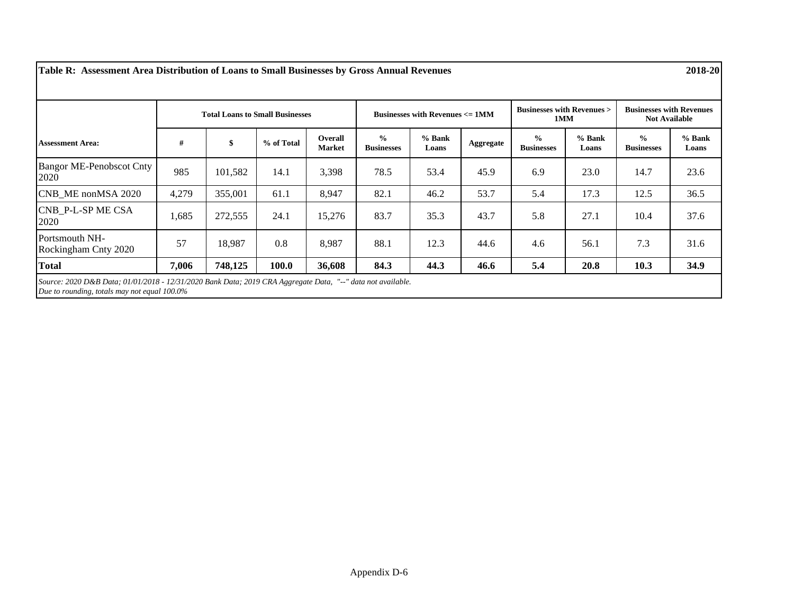**Table R: Assessment Area Distribution of Loans to Small Businesses by Gross Annual Revenues 2018-20**

|                                         |       | <b>Total Loans to Small Businesses</b> |            |                                 |                                    | Businesses with Revenues $\leq 1$ MM |                  | <b>Businesses with Revenues &gt;</b><br>1MM |                   | <b>Businesses with Revenues</b><br><b>Not Available</b> |                   |  |
|-----------------------------------------|-------|----------------------------------------|------------|---------------------------------|------------------------------------|--------------------------------------|------------------|---------------------------------------------|-------------------|---------------------------------------------------------|-------------------|--|
| <b>Assessment Area:</b>                 | #     | \$                                     | % of Total | <b>Overall</b><br><b>Market</b> | $\frac{0}{0}$<br><b>Businesses</b> | $%$ Bank<br>Loans                    | <b>Aggregate</b> | $\frac{0}{0}$<br><b>Businesses</b>          | $%$ Bank<br>Loans | $\frac{0}{0}$<br><b>Businesses</b>                      | $%$ Bank<br>Loans |  |
| <b>Bangor ME-Penobscot Cnty</b><br>2020 | 985   | 101,582                                | 14.1       | 3,398                           | 78.5                               | 53.4                                 | 45.9             | 6.9                                         | 23.0              | 14.7                                                    | 23.6              |  |
| CNB ME nonMSA 2020                      | 4,279 | 355,001                                | 61.1       | 8,947                           | 82.1                               | 46.2                                 | 53.7             | 5.4                                         | 17.3              | 12.5                                                    | 36.5              |  |
| <b>CNB P-L-SPME CSA</b><br>2020         | 1,685 | 272,555                                | 24.1       | 15,276                          | 83.7                               | 35.3                                 | 43.7             | 5.8                                         | 27.1              | 10.4                                                    | 37.6              |  |
| Portsmouth NH-<br>Rockingham Cnty 2020  | 57    | 18,987                                 | 0.8        | 8,987                           | 88.1                               | 12.3                                 | 44.6             | 4.6                                         | 56.1              | 7.3                                                     | 31.6              |  |
| <b>Total</b>                            | 7,006 | 748,125                                | 100.0      | 36,608                          | 84.3                               | 44.3                                 | 46.6             | 5.4                                         | 20.8              | 10.3                                                    | 34.9              |  |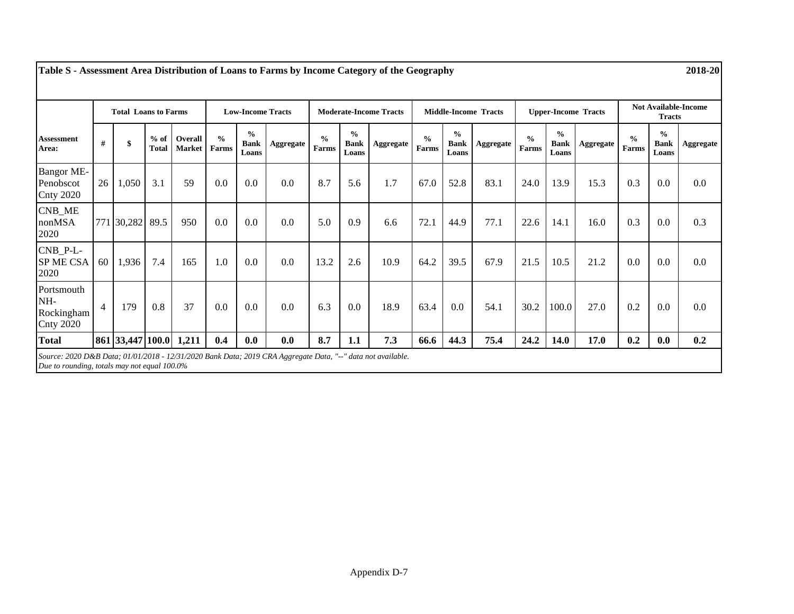|                                                     |                | <b>Total Loans to Farms</b> |                        |                                 | <b>Low-Income Tracts</b> |                                       |           | <b>Moderate-Income Tracts</b> |                                       |                  | <b>Middle-Income Tracts</b> |                                       |           | <b>Upper-Income Tracts</b> |                                       |           | <b>Not Available-Income</b><br><b>Tracts</b> |                                       |           |
|-----------------------------------------------------|----------------|-----------------------------|------------------------|---------------------------------|--------------------------|---------------------------------------|-----------|-------------------------------|---------------------------------------|------------------|-----------------------------|---------------------------------------|-----------|----------------------------|---------------------------------------|-----------|----------------------------------------------|---------------------------------------|-----------|
| <b>Assessment</b><br>Area:                          | #              | \$                          | $%$ of<br><b>Total</b> | <b>Overall</b><br><b>Market</b> | $\frac{0}{0}$<br>Farms   | $\frac{0}{0}$<br><b>Bank</b><br>Loans | Aggregate | $\frac{0}{0}$<br>Farms        | $\frac{0}{0}$<br><b>Bank</b><br>Loans | <b>Aggregate</b> | $\frac{0}{0}$<br>Farms      | $\frac{0}{0}$<br><b>Bank</b><br>Loans | Aggregate | $\frac{0}{0}$<br>Farms     | $\frac{0}{0}$<br><b>Bank</b><br>Loans | Aggregate | $\frac{0}{0}$<br>Farms                       | $\frac{0}{0}$<br><b>Bank</b><br>Loans | Aggregate |
| <b>Bangor ME-</b><br>Penobscot<br><b>Cnty 2020</b>  | 26             | 1,050                       | 3.1                    | 59                              | 0.0                      | 0.0                                   | 0.0       | 8.7                           | 5.6                                   | 1.7              | 67.0                        | 52.8                                  | 83.1      | 24.0                       | 13.9                                  | 15.3      | 0.3                                          | 0.0                                   | 0.0       |
| CNB_ME<br>nonMSA<br>2020                            |                | 771 30,282                  | 89.5                   | 950                             | 0.0                      | 0.0                                   | 0.0       | 5.0                           | 0.9                                   | 6.6              | 72.1                        | 44.9                                  | 77.1      | 22.6                       | 14.1                                  | 16.0      | 0.3                                          | 0.0                                   | 0.3       |
| CNB_P-L-<br>SP ME CSA<br>2020                       | 60             | 1,936                       | 7.4                    | 165                             | 1.0                      | 0.0                                   | 0.0       | 13.2                          | 2.6                                   | 10.9             | 64.2                        | 39.5                                  | 67.9      | 21.5                       | 10.5                                  | 21.2      | 0.0                                          | 0.0                                   | 0.0       |
| Portsmouth<br>NH-<br>Rockingham<br><b>Cnty 2020</b> | $\overline{4}$ | 179                         | 0.8                    | 37                              | 0.0                      | 0.0                                   | 0.0       | 6.3                           | 0.0                                   | 18.9             | 63.4                        | 0.0                                   | 54.1      | 30.2                       | 100.0                                 | 27.0      | 0.2                                          | 0.0                                   | 0.0       |
| <b>Total</b>                                        |                | 861 33,447 100.0 1,211      |                        |                                 | 0.4                      | 0.0                                   | 0.0       | 8.7                           | 1.1                                   | 7.3              | 66.6                        | 44.3                                  | 75.4      | 24.2                       | <b>14.0</b>                           | 17.0      | 0.2                                          | 0.0                                   | 0.2       |

**Table S - Assessment Area Distribution of Loans to Farms by Income Category of the Geography 2018-20**